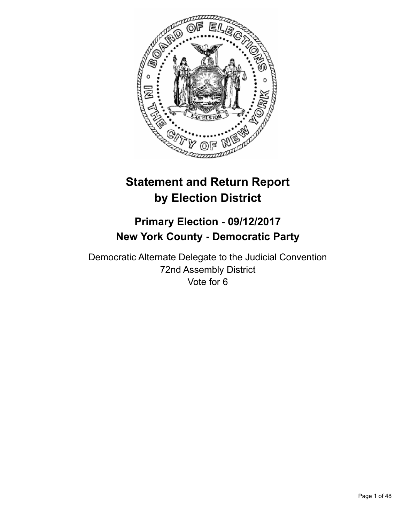

# **Statement and Return Report by Election District**

# **Primary Election - 09/12/2017 New York County - Democratic Party**

Democratic Alternate Delegate to the Judicial Convention 72nd Assembly District Vote for 6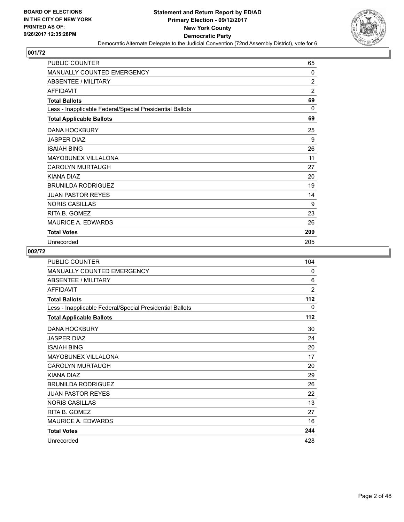

| <b>PUBLIC COUNTER</b>                                    | 65             |
|----------------------------------------------------------|----------------|
| <b>MANUALLY COUNTED EMERGENCY</b>                        | $\Omega$       |
| ABSENTEE / MILITARY                                      | 2              |
| <b>AFFIDAVIT</b>                                         | $\overline{2}$ |
| <b>Total Ballots</b>                                     | 69             |
| Less - Inapplicable Federal/Special Presidential Ballots | 0              |
| <b>Total Applicable Ballots</b>                          | 69             |
| <b>DANA HOCKBURY</b>                                     | 25             |
| <b>JASPER DIAZ</b>                                       | 9              |
| <b>ISAIAH BING</b>                                       | 26             |
| <b>MAYOBUNEX VILLALONA</b>                               | 11             |
| <b>CAROLYN MURTAUGH</b>                                  | 27             |
| KIANA DIAZ                                               | 20             |
| <b>BRUNILDA RODRIGUEZ</b>                                | 19             |
| <b>JUAN PASTOR REYES</b>                                 | 14             |
| <b>NORIS CASILLAS</b>                                    | 9              |
| RITA B. GOMEZ                                            | 23             |
| <b>MAURICE A. EDWARDS</b>                                | 26             |
| <b>Total Votes</b>                                       | 209            |
| Unrecorded                                               | 205            |

| <b>PUBLIC COUNTER</b>                                    | 104   |
|----------------------------------------------------------|-------|
| MANUALLY COUNTED EMERGENCY                               | 0     |
| <b>ABSENTEE / MILITARY</b>                               | 6     |
| <b>AFFIDAVIT</b>                                         | 2     |
| <b>Total Ballots</b>                                     | $112$ |
| Less - Inapplicable Federal/Special Presidential Ballots | 0     |
| <b>Total Applicable Ballots</b>                          | 112   |
| <b>DANA HOCKBURY</b>                                     | 30    |
| <b>JASPER DIAZ</b>                                       | 24    |
| <b>ISAIAH BING</b>                                       | 20    |
| <b>MAYOBUNEX VILLALONA</b>                               | 17    |
| <b>CAROLYN MURTAUGH</b>                                  | 20    |
| KIANA DIAZ                                               | 29    |
| <b>BRUNILDA RODRIGUEZ</b>                                | 26    |
| <b>JUAN PASTOR REYES</b>                                 | 22    |
| <b>NORIS CASILLAS</b>                                    | 13    |
| RITA B. GOMEZ                                            | 27    |
| <b>MAURICE A. EDWARDS</b>                                | 16    |
| <b>Total Votes</b>                                       | 244   |
| Unrecorded                                               | 428   |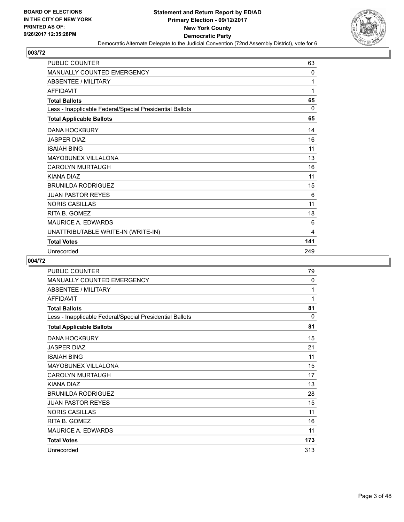

| <b>PUBLIC COUNTER</b>                                    | 63       |
|----------------------------------------------------------|----------|
| MANUALLY COUNTED EMERGENCY                               | 0        |
| <b>ABSENTEE / MILITARY</b>                               | 1        |
| <b>AFFIDAVIT</b>                                         | 1        |
| <b>Total Ballots</b>                                     | 65       |
| Less - Inapplicable Federal/Special Presidential Ballots | $\Omega$ |
| <b>Total Applicable Ballots</b>                          | 65       |
| <b>DANA HOCKBURY</b>                                     | 14       |
| <b>JASPER DIAZ</b>                                       | 16       |
| <b>ISAIAH BING</b>                                       | 11       |
| <b>MAYOBUNEX VILLALONA</b>                               | 13       |
| <b>CAROLYN MURTAUGH</b>                                  | 16       |
| KIANA DIAZ                                               | 11       |
| <b>BRUNILDA RODRIGUEZ</b>                                | 15       |
| <b>JUAN PASTOR REYES</b>                                 | 6        |
| <b>NORIS CASILLAS</b>                                    | 11       |
| RITA B. GOMEZ                                            | 18       |
| <b>MAURICE A. EDWARDS</b>                                | 6        |
| UNATTRIBUTABLE WRITE-IN (WRITE-IN)                       | 4        |
| <b>Total Votes</b>                                       | 141      |
| Unrecorded                                               | 249      |

| <b>PUBLIC COUNTER</b>                                    | 79           |
|----------------------------------------------------------|--------------|
| MANUALLY COUNTED EMERGENCY                               | $\mathbf{0}$ |
| <b>ABSENTEE / MILITARY</b>                               | 1            |
| <b>AFFIDAVIT</b>                                         | 1            |
| <b>Total Ballots</b>                                     | 81           |
| Less - Inapplicable Federal/Special Presidential Ballots | 0            |
| <b>Total Applicable Ballots</b>                          | 81           |
| <b>DANA HOCKBURY</b>                                     | 15           |
| <b>JASPER DIAZ</b>                                       | 21           |
| <b>ISAIAH BING</b>                                       | 11           |
| <b>MAYOBUNEX VILLALONA</b>                               | 15           |
| <b>CAROLYN MURTAUGH</b>                                  | 17           |
| <b>KIANA DIAZ</b>                                        | 13           |
| <b>BRUNILDA RODRIGUEZ</b>                                | 28           |
| <b>JUAN PASTOR REYES</b>                                 | 15           |
| <b>NORIS CASILLAS</b>                                    | 11           |
| RITA B. GOMEZ                                            | 16           |
| MAURICE A. EDWARDS                                       | 11           |
| <b>Total Votes</b>                                       | 173          |
| Unrecorded                                               | 313          |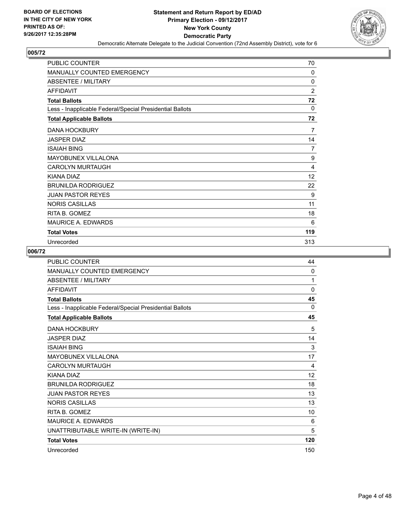

| <b>PUBLIC COUNTER</b>                                    | 70             |
|----------------------------------------------------------|----------------|
| <b>MANUALLY COUNTED EMERGENCY</b>                        | 0              |
| ABSENTEE / MILITARY                                      | 0              |
| <b>AFFIDAVIT</b>                                         | $\overline{2}$ |
| <b>Total Ballots</b>                                     | 72             |
| Less - Inapplicable Federal/Special Presidential Ballots | 0              |
| <b>Total Applicable Ballots</b>                          | 72             |
| <b>DANA HOCKBURY</b>                                     | 7              |
| <b>JASPER DIAZ</b>                                       | 14             |
| <b>ISAIAH BING</b>                                       | 7              |
| <b>MAYOBUNEX VILLALONA</b>                               | 9              |
| <b>CAROLYN MURTAUGH</b>                                  | 4              |
| <b>KIANA DIAZ</b>                                        | 12             |
| <b>BRUNILDA RODRIGUEZ</b>                                | 22             |
| <b>JUAN PASTOR REYES</b>                                 | 9              |
| <b>NORIS CASILLAS</b>                                    | 11             |
| RITA B. GOMEZ                                            | 18             |
| <b>MAURICE A. EDWARDS</b>                                | 6              |
| <b>Total Votes</b>                                       | 119            |
| Unrecorded                                               | 313            |

| <b>PUBLIC COUNTER</b>                                    | 44       |
|----------------------------------------------------------|----------|
| <b>MANUALLY COUNTED EMERGENCY</b>                        | 0        |
| <b>ABSENTEE / MILITARY</b>                               | 1        |
| <b>AFFIDAVIT</b>                                         | 0        |
| <b>Total Ballots</b>                                     | 45       |
| Less - Inapplicable Federal/Special Presidential Ballots | $\Omega$ |
| <b>Total Applicable Ballots</b>                          | 45       |
| <b>DANA HOCKBURY</b>                                     | 5        |
| <b>JASPER DIAZ</b>                                       | 14       |
| <b>ISAIAH BING</b>                                       | 3        |
| <b>MAYOBUNEX VILLALONA</b>                               | 17       |
| <b>CAROLYN MURTAUGH</b>                                  | 4        |
| KIANA DIAZ                                               | 12       |
| <b>BRUNILDA RODRIGUEZ</b>                                | 18       |
| <b>JUAN PASTOR REYES</b>                                 | 13       |
| <b>NORIS CASILLAS</b>                                    | 13       |
| RITA B. GOMEZ                                            | 10       |
| <b>MAURICE A. EDWARDS</b>                                | 6        |
| UNATTRIBUTABLE WRITE-IN (WRITE-IN)                       | 5        |
| <b>Total Votes</b>                                       | 120      |
| Unrecorded                                               | 150      |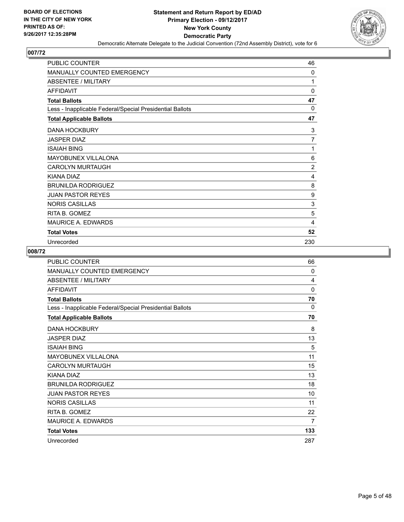

| <b>PUBLIC COUNTER</b>                                    | 46             |
|----------------------------------------------------------|----------------|
| <b>MANUALLY COUNTED EMERGENCY</b>                        | 0              |
| <b>ABSENTEE / MILITARY</b>                               | 1              |
| <b>AFFIDAVIT</b>                                         | $\mathbf{0}$   |
| <b>Total Ballots</b>                                     | 47             |
| Less - Inapplicable Federal/Special Presidential Ballots | 0              |
| <b>Total Applicable Ballots</b>                          | 47             |
| <b>DANA HOCKBURY</b>                                     | 3              |
| <b>JASPER DIAZ</b>                                       | $\overline{7}$ |
| <b>ISAIAH BING</b>                                       | 1              |
| <b>MAYOBUNEX VILLALONA</b>                               | 6              |
| <b>CAROLYN MURTAUGH</b>                                  | $\overline{2}$ |
| <b>KIANA DIAZ</b>                                        | 4              |
| <b>BRUNILDA RODRIGUEZ</b>                                | 8              |
| <b>JUAN PASTOR REYES</b>                                 | 9              |
| <b>NORIS CASILLAS</b>                                    | 3              |
| RITA B. GOMEZ                                            | 5              |
| <b>MAURICE A. EDWARDS</b>                                | 4              |
| <b>Total Votes</b>                                       | 52             |
| Unrecorded                                               | 230            |

| PUBLIC COUNTER                                           | 66          |
|----------------------------------------------------------|-------------|
| MANUALLY COUNTED EMERGENCY                               | 0           |
| <b>ABSENTEE / MILITARY</b>                               | 4           |
| <b>AFFIDAVIT</b>                                         | $\mathbf 0$ |
| <b>Total Ballots</b>                                     | 70          |
| Less - Inapplicable Federal/Special Presidential Ballots | $\Omega$    |
| <b>Total Applicable Ballots</b>                          | 70          |
| <b>DANA HOCKBURY</b>                                     | 8           |
| <b>JASPER DIAZ</b>                                       | 13          |
| <b>ISAIAH BING</b>                                       | 5           |
| <b>MAYOBUNEX VILLALONA</b>                               | 11          |
| <b>CAROLYN MURTAUGH</b>                                  | 15          |
| KIANA DIAZ                                               | 13          |
| <b>BRUNILDA RODRIGUEZ</b>                                | 18          |
| <b>JUAN PASTOR REYES</b>                                 | 10          |
| <b>NORIS CASILLAS</b>                                    | 11          |
| RITA B. GOMEZ                                            | 22          |
| <b>MAURICE A. EDWARDS</b>                                | 7           |
| <b>Total Votes</b>                                       | 133         |
| Unrecorded                                               | 287         |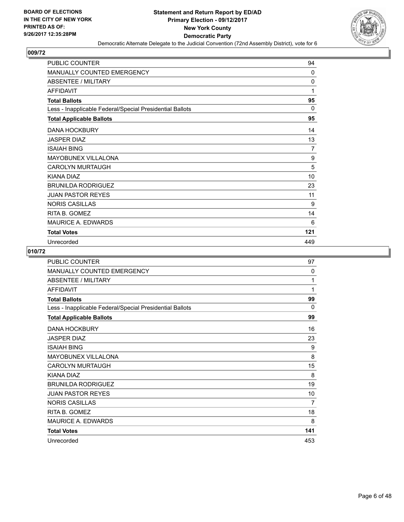

| <b>PUBLIC COUNTER</b>                                    | 94       |
|----------------------------------------------------------|----------|
| <b>MANUALLY COUNTED EMERGENCY</b>                        | 0        |
| <b>ABSENTEE / MILITARY</b>                               | $\Omega$ |
| <b>AFFIDAVIT</b>                                         | 1        |
| <b>Total Ballots</b>                                     | 95       |
| Less - Inapplicable Federal/Special Presidential Ballots | 0        |
| <b>Total Applicable Ballots</b>                          | 95       |
| <b>DANA HOCKBURY</b>                                     | 14       |
| <b>JASPER DIAZ</b>                                       | 13       |
| <b>ISAIAH BING</b>                                       | 7        |
| <b>MAYOBUNEX VILLALONA</b>                               | 9        |
| <b>CAROLYN MURTAUGH</b>                                  | 5        |
| KIANA DIAZ                                               | 10       |
| <b>BRUNILDA RODRIGUEZ</b>                                | 23       |
| <b>JUAN PASTOR REYES</b>                                 | 11       |
| <b>NORIS CASILLAS</b>                                    | 9        |
| RITA B. GOMEZ                                            | 14       |
| <b>MAURICE A. EDWARDS</b>                                | 6        |
| <b>Total Votes</b>                                       | 121      |
| Unrecorded                                               | 449      |

| <b>PUBLIC COUNTER</b>                                    | 97       |
|----------------------------------------------------------|----------|
| MANUALLY COUNTED EMERGENCY                               | 0        |
| <b>ABSENTEE / MILITARY</b>                               | 1        |
| <b>AFFIDAVIT</b>                                         | 1        |
| <b>Total Ballots</b>                                     | 99       |
| Less - Inapplicable Federal/Special Presidential Ballots | $\Omega$ |
| <b>Total Applicable Ballots</b>                          | 99       |
| <b>DANA HOCKBURY</b>                                     | 16       |
| <b>JASPER DIAZ</b>                                       | 23       |
| <b>ISAIAH BING</b>                                       | 9        |
| MAYOBUNEX VILLALONA                                      | 8        |
| <b>CAROLYN MURTAUGH</b>                                  | 15       |
| KIANA DIAZ                                               | 8        |
| <b>BRUNILDA RODRIGUEZ</b>                                | 19       |
| <b>JUAN PASTOR REYES</b>                                 | 10       |
| <b>NORIS CASILLAS</b>                                    | 7        |
| RITA B. GOMEZ                                            | 18       |
| <b>MAURICE A. EDWARDS</b>                                | 8        |
| <b>Total Votes</b>                                       | 141      |
| Unrecorded                                               | 453      |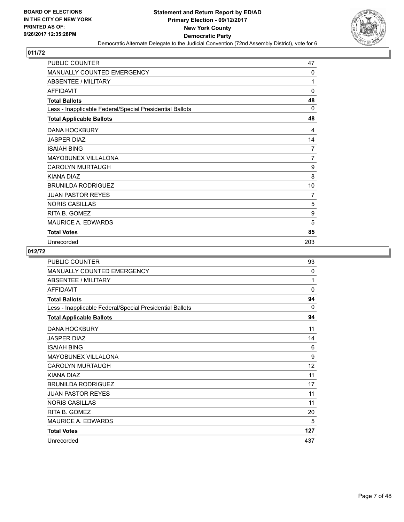

| <b>PUBLIC COUNTER</b>                                    | 47             |
|----------------------------------------------------------|----------------|
| <b>MANUALLY COUNTED EMERGENCY</b>                        | 0              |
| <b>ABSENTEE / MILITARY</b>                               | 1              |
| <b>AFFIDAVIT</b>                                         | $\mathbf{0}$   |
| <b>Total Ballots</b>                                     | 48             |
| Less - Inapplicable Federal/Special Presidential Ballots | $\Omega$       |
| <b>Total Applicable Ballots</b>                          | 48             |
| <b>DANA HOCKBURY</b>                                     | 4              |
| <b>JASPER DIAZ</b>                                       | 14             |
| <b>ISAIAH BING</b>                                       | 7              |
| <b>MAYOBUNEX VILLALONA</b>                               | $\overline{7}$ |
| <b>CAROLYN MURTAUGH</b>                                  | 9              |
| <b>KIANA DIAZ</b>                                        | 8              |
| <b>BRUNILDA RODRIGUEZ</b>                                | 10             |
| <b>JUAN PASTOR REYES</b>                                 | 7              |
| <b>NORIS CASILLAS</b>                                    | 5              |
| RITA B. GOMEZ                                            | 9              |
| <b>MAURICE A. EDWARDS</b>                                | 5              |
| <b>Total Votes</b>                                       | 85             |
| Unrecorded                                               | 203            |

| <b>PUBLIC COUNTER</b>                                    | 93                |
|----------------------------------------------------------|-------------------|
| <b>MANUALLY COUNTED EMERGENCY</b>                        | 0                 |
| <b>ABSENTEE / MILITARY</b>                               | 1                 |
| <b>AFFIDAVIT</b>                                         | 0                 |
| <b>Total Ballots</b>                                     | 94                |
| Less - Inapplicable Federal/Special Presidential Ballots | 0                 |
| <b>Total Applicable Ballots</b>                          | 94                |
| <b>DANA HOCKBURY</b>                                     | 11                |
| <b>JASPER DIAZ</b>                                       | 14                |
| <b>ISAIAH BING</b>                                       | 6                 |
| MAYOBUNEX VILLALONA                                      | 9                 |
| <b>CAROLYN MURTAUGH</b>                                  | $12 \overline{ }$ |
| KIANA DIAZ                                               | 11                |
| <b>BRUNILDA RODRIGUEZ</b>                                | 17                |
| <b>JUAN PASTOR REYES</b>                                 | 11                |
| <b>NORIS CASILLAS</b>                                    | 11                |
| RITA B. GOMEZ                                            | 20                |
| MAURICE A. EDWARDS                                       | 5                 |
| <b>Total Votes</b>                                       | 127               |
| Unrecorded                                               | 437               |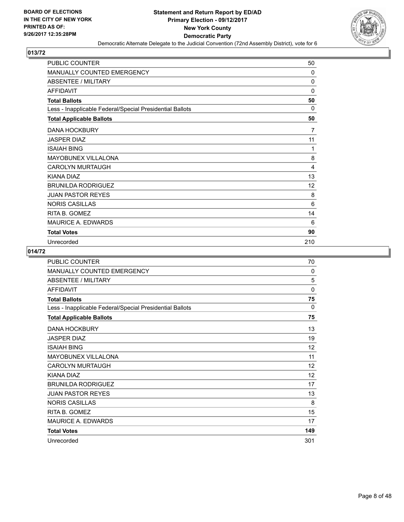

| <b>PUBLIC COUNTER</b>                                    | 50       |
|----------------------------------------------------------|----------|
| MANUALLY COUNTED EMERGENCY                               | 0        |
| ABSENTEE / MILITARY                                      | $\Omega$ |
| <b>AFFIDAVIT</b>                                         | 0        |
| <b>Total Ballots</b>                                     | 50       |
| Less - Inapplicable Federal/Special Presidential Ballots | 0        |
| <b>Total Applicable Ballots</b>                          | 50       |
| <b>DANA HOCKBURY</b>                                     | 7        |
| <b>JASPER DIAZ</b>                                       | 11       |
| <b>ISAIAH BING</b>                                       | 1        |
| <b>MAYOBUNEX VILLALONA</b>                               | 8        |
| <b>CAROLYN MURTAUGH</b>                                  | 4        |
| KIANA DIAZ                                               | 13       |
| <b>BRUNILDA RODRIGUEZ</b>                                | 12       |
| <b>JUAN PASTOR REYES</b>                                 | 8        |
| <b>NORIS CASILLAS</b>                                    | 6        |
| RITA B. GOMEZ                                            | 14       |
| <b>MAURICE A. EDWARDS</b>                                | 6        |
| <b>Total Votes</b>                                       | 90       |
| Unrecorded                                               | 210      |

| PUBLIC COUNTER                                           | 70       |
|----------------------------------------------------------|----------|
| MANUALLY COUNTED EMERGENCY                               | 0        |
| <b>ABSENTEE / MILITARY</b>                               | 5        |
| <b>AFFIDAVIT</b>                                         | 0        |
| <b>Total Ballots</b>                                     | 75       |
| Less - Inapplicable Federal/Special Presidential Ballots | $\Omega$ |
| <b>Total Applicable Ballots</b>                          | 75       |
| <b>DANA HOCKBURY</b>                                     | 13       |
| JASPER DIAZ                                              | 19       |
| <b>ISAIAH BING</b>                                       | 12       |
| <b>MAYOBUNEX VILLALONA</b>                               | 11       |
| <b>CAROLYN MURTAUGH</b>                                  | 12       |
| <b>KIANA DIAZ</b>                                        | 12       |
| <b>BRUNILDA RODRIGUEZ</b>                                | 17       |
| <b>JUAN PASTOR REYES</b>                                 | 13       |
| <b>NORIS CASILLAS</b>                                    | 8        |
| RITA B. GOMEZ                                            | 15       |
| <b>MAURICE A. EDWARDS</b>                                | 17       |
| <b>Total Votes</b>                                       | 149      |
| Unrecorded                                               | 301      |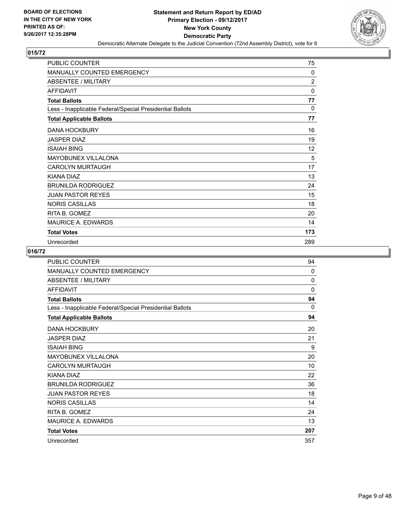

| <b>PUBLIC COUNTER</b>                                    | 75             |
|----------------------------------------------------------|----------------|
| MANUALLY COUNTED EMERGENCY                               | 0              |
| <b>ABSENTEE / MILITARY</b>                               | $\overline{c}$ |
| <b>AFFIDAVIT</b>                                         | $\mathbf{0}$   |
| <b>Total Ballots</b>                                     | 77             |
| Less - Inapplicable Federal/Special Presidential Ballots | $\Omega$       |
| <b>Total Applicable Ballots</b>                          | 77             |
| <b>DANA HOCKBURY</b>                                     | 16             |
| <b>JASPER DIAZ</b>                                       | 19             |
| <b>ISAIAH BING</b>                                       | 12             |
| <b>MAYOBUNEX VILLALONA</b>                               | 5              |
| <b>CAROLYN MURTAUGH</b>                                  | 17             |
| KIANA DIAZ                                               | 13             |
| <b>BRUNILDA RODRIGUEZ</b>                                | 24             |
| <b>JUAN PASTOR REYES</b>                                 | 15             |
| <b>NORIS CASILLAS</b>                                    | 18             |
| RITA B. GOMEZ                                            | 20             |
| <b>MAURICE A. EDWARDS</b>                                | 14             |
| <b>Total Votes</b>                                       | 173            |
| Unrecorded                                               | 289            |

| <b>PUBLIC COUNTER</b>                                    | 94       |
|----------------------------------------------------------|----------|
| <b>MANUALLY COUNTED EMERGENCY</b>                        | 0        |
| <b>ABSENTEE / MILITARY</b>                               | $\Omega$ |
| <b>AFFIDAVIT</b>                                         | $\Omega$ |
| <b>Total Ballots</b>                                     | 94       |
| Less - Inapplicable Federal/Special Presidential Ballots | $\Omega$ |
| <b>Total Applicable Ballots</b>                          | 94       |
| <b>DANA HOCKBURY</b>                                     | 20       |
| <b>JASPER DIAZ</b>                                       | 21       |
| <b>ISAIAH BING</b>                                       | 9        |
| <b>MAYOBUNEX VILLALONA</b>                               | 20       |
| <b>CAROLYN MURTAUGH</b>                                  | 10       |
| KIANA DIAZ                                               | 22       |
| <b>BRUNILDA RODRIGUEZ</b>                                | 36       |
| <b>JUAN PASTOR REYES</b>                                 | 18       |
| <b>NORIS CASILLAS</b>                                    | 14       |
| RITA B. GOMEZ                                            | 24       |
| <b>MAURICE A. EDWARDS</b>                                | 13       |
| <b>Total Votes</b>                                       | 207      |
| Unrecorded                                               | 357      |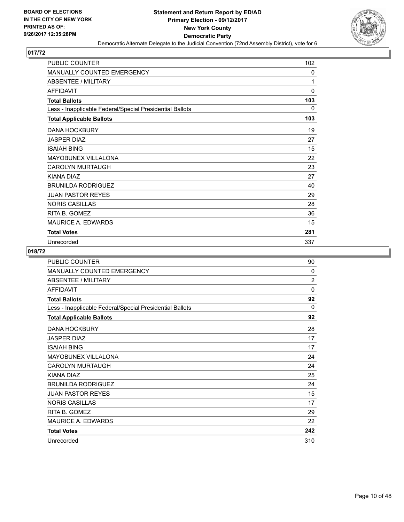

| <b>PUBLIC COUNTER</b>                                    | 102          |
|----------------------------------------------------------|--------------|
| MANUALLY COUNTED EMERGENCY                               | 0            |
| <b>ABSENTEE / MILITARY</b>                               | 1            |
| <b>AFFIDAVIT</b>                                         | $\mathbf{0}$ |
| <b>Total Ballots</b>                                     | 103          |
| Less - Inapplicable Federal/Special Presidential Ballots | 0            |
| <b>Total Applicable Ballots</b>                          | 103          |
| <b>DANA HOCKBURY</b>                                     | 19           |
| <b>JASPER DIAZ</b>                                       | 27           |
| <b>ISAIAH BING</b>                                       | 15           |
| <b>MAYOBUNEX VILLALONA</b>                               | 22           |
| <b>CAROLYN MURTAUGH</b>                                  | 23           |
| KIANA DIAZ                                               | 27           |
| <b>BRUNILDA RODRIGUEZ</b>                                | 40           |
| <b>JUAN PASTOR REYES</b>                                 | 29           |
| <b>NORIS CASILLAS</b>                                    | 28           |
| RITA B. GOMEZ                                            | 36           |
| <b>MAURICE A. EDWARDS</b>                                | 15           |
| <b>Total Votes</b>                                       | 281          |
| Unrecorded                                               | 337          |

| <b>PUBLIC COUNTER</b>                                    | 90           |
|----------------------------------------------------------|--------------|
| <b>MANUALLY COUNTED EMERGENCY</b>                        | 0            |
| ABSENTEE / MILITARY                                      | 2            |
| <b>AFFIDAVIT</b>                                         | $\mathbf{0}$ |
| <b>Total Ballots</b>                                     | 92           |
| Less - Inapplicable Federal/Special Presidential Ballots | $\Omega$     |
| <b>Total Applicable Ballots</b>                          | 92           |
| <b>DANA HOCKBURY</b>                                     | 28           |
| <b>JASPER DIAZ</b>                                       | 17           |
| <b>ISAIAH BING</b>                                       | 17           |
| MAYOBUNEX VILLALONA                                      | 24           |
| <b>CAROLYN MURTAUGH</b>                                  | 24           |
| KIANA DIAZ                                               | 25           |
| <b>BRUNILDA RODRIGUEZ</b>                                | 24           |
| <b>JUAN PASTOR REYES</b>                                 | 15           |
| <b>NORIS CASILLAS</b>                                    | 17           |
| RITA B. GOMEZ                                            | 29           |
| <b>MAURICE A. EDWARDS</b>                                | 22           |
| <b>Total Votes</b>                                       | 242          |
| Unrecorded                                               | 310          |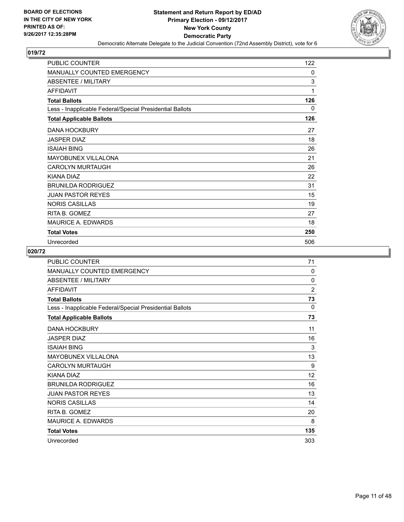

| <b>PUBLIC COUNTER</b>                                    | 122 |
|----------------------------------------------------------|-----|
| <b>MANUALLY COUNTED EMERGENCY</b>                        | 0   |
| <b>ABSENTEE / MILITARY</b>                               | 3   |
| <b>AFFIDAVIT</b>                                         | 1   |
| <b>Total Ballots</b>                                     | 126 |
| Less - Inapplicable Federal/Special Presidential Ballots | 0   |
| <b>Total Applicable Ballots</b>                          | 126 |
| <b>DANA HOCKBURY</b>                                     | 27  |
| <b>JASPER DIAZ</b>                                       | 18  |
| <b>ISAIAH BING</b>                                       | 26  |
| <b>MAYOBUNEX VILLALONA</b>                               | 21  |
| <b>CAROLYN MURTAUGH</b>                                  | 26  |
| KIANA DIAZ                                               | 22  |
| <b>BRUNILDA RODRIGUEZ</b>                                | 31  |
| <b>JUAN PASTOR REYES</b>                                 | 15  |
| <b>NORIS CASILLAS</b>                                    | 19  |
| RITA B. GOMEZ                                            | 27  |
| <b>MAURICE A. EDWARDS</b>                                | 18  |
| <b>Total Votes</b>                                       | 250 |
| Unrecorded                                               | 506 |

| PUBLIC COUNTER                                           | 71             |
|----------------------------------------------------------|----------------|
| MANUALLY COUNTED EMERGENCY                               | 0              |
| <b>ABSENTEE / MILITARY</b>                               | 0              |
| <b>AFFIDAVIT</b>                                         | $\overline{2}$ |
| <b>Total Ballots</b>                                     | 73             |
| Less - Inapplicable Federal/Special Presidential Ballots | 0              |
| <b>Total Applicable Ballots</b>                          | 73             |
| <b>DANA HOCKBURY</b>                                     | 11             |
| <b>JASPER DIAZ</b>                                       | 16             |
| <b>ISAIAH BING</b>                                       | 3              |
| <b>MAYOBUNEX VILLALONA</b>                               | 13             |
| <b>CAROLYN MURTAUGH</b>                                  | 9              |
| KIANA DIAZ                                               | 12             |
| <b>BRUNILDA RODRIGUEZ</b>                                | 16             |
| <b>JUAN PASTOR REYES</b>                                 | 13             |
| <b>NORIS CASILLAS</b>                                    | 14             |
| RITA B. GOMEZ                                            | 20             |
| <b>MAURICE A. EDWARDS</b>                                | 8              |
| <b>Total Votes</b>                                       | 135            |
| Unrecorded                                               | 303            |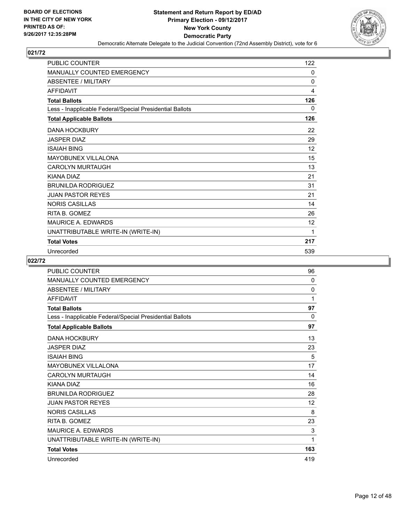

| <b>PUBLIC COUNTER</b>                                    | 122 |
|----------------------------------------------------------|-----|
| <b>MANUALLY COUNTED EMERGENCY</b>                        | 0   |
| <b>ABSENTEE / MILITARY</b>                               | 0   |
| <b>AFFIDAVIT</b>                                         | 4   |
| <b>Total Ballots</b>                                     | 126 |
| Less - Inapplicable Federal/Special Presidential Ballots | 0   |
| <b>Total Applicable Ballots</b>                          | 126 |
| <b>DANA HOCKBURY</b>                                     | 22  |
| <b>JASPER DIAZ</b>                                       | 29  |
| <b>ISAIAH BING</b>                                       | 12  |
| <b>MAYOBUNEX VILLALONA</b>                               | 15  |
| <b>CAROLYN MURTAUGH</b>                                  | 13  |
| KIANA DIAZ                                               | 21  |
| <b>BRUNILDA RODRIGUEZ</b>                                | 31  |
| <b>JUAN PASTOR REYES</b>                                 | 21  |
| <b>NORIS CASILLAS</b>                                    | 14  |
| RITA B. GOMEZ                                            | 26  |
| <b>MAURICE A. EDWARDS</b>                                | 12  |
| UNATTRIBUTABLE WRITE-IN (WRITE-IN)                       | 1   |
| <b>Total Votes</b>                                       | 217 |
| Unrecorded                                               | 539 |

| PUBLIC COUNTER                                           | 96       |
|----------------------------------------------------------|----------|
| <b>MANUALLY COUNTED EMERGENCY</b>                        | 0        |
| <b>ABSENTEE / MILITARY</b>                               | 0        |
| <b>AFFIDAVIT</b>                                         | 1        |
| <b>Total Ballots</b>                                     | 97       |
| Less - Inapplicable Federal/Special Presidential Ballots | $\Omega$ |
| <b>Total Applicable Ballots</b>                          | 97       |
| <b>DANA HOCKBURY</b>                                     | 13       |
| <b>JASPER DIAZ</b>                                       | 23       |
| <b>ISAIAH BING</b>                                       | 5        |
| MAYOBUNEX VILLALONA                                      | 17       |
| <b>CAROLYN MURTAUGH</b>                                  | 14       |
| KIANA DIAZ                                               | 16       |
| <b>BRUNILDA RODRIGUEZ</b>                                | 28       |
| <b>JUAN PASTOR REYES</b>                                 | 12       |
| <b>NORIS CASILLAS</b>                                    | 8        |
| RITA B. GOMEZ                                            | 23       |
| <b>MAURICE A. EDWARDS</b>                                | 3        |
| UNATTRIBUTABLE WRITE-IN (WRITE-IN)                       | 1        |
| <b>Total Votes</b>                                       | 163      |
| Unrecorded                                               | 419      |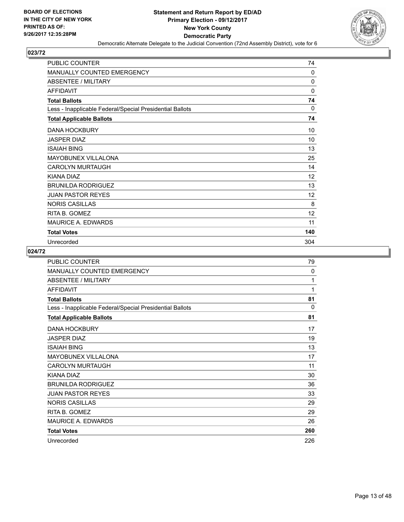

| PUBLIC COUNTER                                           | 74           |
|----------------------------------------------------------|--------------|
| MANUALLY COUNTED EMERGENCY                               | 0            |
| <b>ABSENTEE / MILITARY</b>                               | $\mathbf{0}$ |
| <b>AFFIDAVIT</b>                                         | $\mathbf{0}$ |
| <b>Total Ballots</b>                                     | 74           |
| Less - Inapplicable Federal/Special Presidential Ballots | $\Omega$     |
| <b>Total Applicable Ballots</b>                          | 74           |
| <b>DANA HOCKBURY</b>                                     | 10           |
| <b>JASPER DIAZ</b>                                       | 10           |
| <b>ISAIAH BING</b>                                       | 13           |
| <b>MAYOBUNEX VILLALONA</b>                               | 25           |
| <b>CAROLYN MURTAUGH</b>                                  | 14           |
| KIANA DIAZ                                               | 12           |
| <b>BRUNILDA RODRIGUEZ</b>                                | 13           |
| <b>JUAN PASTOR REYES</b>                                 | 12           |
| <b>NORIS CASILLAS</b>                                    | 8            |
| RITA B. GOMEZ                                            | 12           |
| <b>MAURICE A. EDWARDS</b>                                | 11           |
| <b>Total Votes</b>                                       | 140          |
| Unrecorded                                               | 304          |

| <b>PUBLIC COUNTER</b>                                    | 79       |
|----------------------------------------------------------|----------|
| <b>MANUALLY COUNTED EMERGENCY</b>                        | 0        |
| ABSENTEE / MILITARY                                      | 1        |
| <b>AFFIDAVIT</b>                                         | 1        |
| <b>Total Ballots</b>                                     | 81       |
| Less - Inapplicable Federal/Special Presidential Ballots | $\Omega$ |
| <b>Total Applicable Ballots</b>                          | 81       |
| <b>DANA HOCKBURY</b>                                     | 17       |
| <b>JASPER DIAZ</b>                                       | 19       |
| <b>ISAIAH BING</b>                                       | 13       |
| MAYOBUNEX VILLALONA                                      | 17       |
| <b>CAROLYN MURTAUGH</b>                                  | 11       |
| KIANA DIAZ                                               | 30       |
| <b>BRUNILDA RODRIGUEZ</b>                                | 36       |
| <b>JUAN PASTOR REYES</b>                                 | 33       |
| <b>NORIS CASILLAS</b>                                    | 29       |
| RITA B. GOMEZ                                            | 29       |
| <b>MAURICE A. EDWARDS</b>                                | 26       |
| <b>Total Votes</b>                                       | 260      |
| Unrecorded                                               | 226      |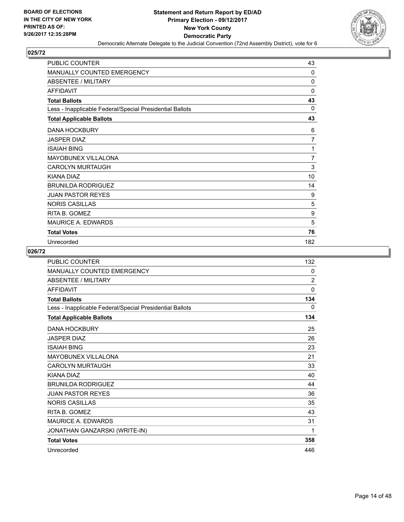

| PUBLIC COUNTER                                           | 43             |
|----------------------------------------------------------|----------------|
| <b>MANUALLY COUNTED EMERGENCY</b>                        | 0              |
| <b>ABSENTEE / MILITARY</b>                               | 0              |
| <b>AFFIDAVIT</b>                                         | $\mathbf{0}$   |
| <b>Total Ballots</b>                                     | 43             |
| Less - Inapplicable Federal/Special Presidential Ballots | $\Omega$       |
| <b>Total Applicable Ballots</b>                          | 43             |
| <b>DANA HOCKBURY</b>                                     | 6              |
| <b>JASPER DIAZ</b>                                       | 7              |
| <b>ISAIAH BING</b>                                       | 1              |
| <b>MAYOBUNEX VILLALONA</b>                               | $\overline{7}$ |
| <b>CAROLYN MURTAUGH</b>                                  | 3              |
| <b>KIANA DIAZ</b>                                        | 10             |
| <b>BRUNILDA RODRIGUEZ</b>                                | 14             |
| <b>JUAN PASTOR REYES</b>                                 | 9              |
| <b>NORIS CASILLAS</b>                                    | 5              |
| RITA B. GOMEZ                                            | 9              |
| <b>MAURICE A. EDWARDS</b>                                | 5              |
| <b>Total Votes</b>                                       | 76             |
| Unrecorded                                               | 182            |

| <b>PUBLIC COUNTER</b>                                    | 132            |
|----------------------------------------------------------|----------------|
| MANUALLY COUNTED EMERGENCY                               | 0              |
| <b>ABSENTEE / MILITARY</b>                               | $\overline{2}$ |
| <b>AFFIDAVIT</b>                                         | $\mathbf 0$    |
| <b>Total Ballots</b>                                     | 134            |
| Less - Inapplicable Federal/Special Presidential Ballots | 0              |
| <b>Total Applicable Ballots</b>                          | 134            |
| <b>DANA HOCKBURY</b>                                     | 25             |
| <b>JASPER DIAZ</b>                                       | 26             |
| <b>ISAIAH BING</b>                                       | 23             |
| MAYOBUNEX VILLALONA                                      | 21             |
| <b>CAROLYN MURTAUGH</b>                                  | 33             |
| KIANA DIAZ                                               | 40             |
| <b>BRUNILDA RODRIGUEZ</b>                                | 44             |
| <b>JUAN PASTOR REYES</b>                                 | 36             |
| <b>NORIS CASILLAS</b>                                    | 35             |
| RITA B. GOMEZ                                            | 43             |
| <b>MAURICE A. EDWARDS</b>                                | 31             |
| JONATHAN GANZARSKI (WRITE-IN)                            | 1              |
| <b>Total Votes</b>                                       | 358            |
| Unrecorded                                               | 446            |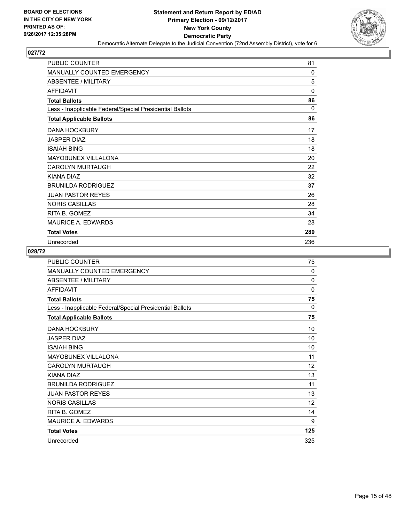

| PUBLIC COUNTER                                           | 81       |
|----------------------------------------------------------|----------|
| MANUALLY COUNTED EMERGENCY                               | 0        |
| <b>ABSENTEE / MILITARY</b>                               | 5        |
| <b>AFFIDAVIT</b>                                         | $\Omega$ |
| <b>Total Ballots</b>                                     | 86       |
| Less - Inapplicable Federal/Special Presidential Ballots | $\Omega$ |
| <b>Total Applicable Ballots</b>                          | 86       |
| <b>DANA HOCKBURY</b>                                     | 17       |
| <b>JASPER DIAZ</b>                                       | 18       |
| <b>ISAIAH BING</b>                                       | 18       |
| <b>MAYOBUNEX VILLALONA</b>                               | 20       |
| <b>CAROLYN MURTAUGH</b>                                  | 22       |
| KIANA DIAZ                                               | 32       |
| <b>BRUNILDA RODRIGUEZ</b>                                | 37       |
| <b>JUAN PASTOR REYES</b>                                 | 26       |
| <b>NORIS CASILLAS</b>                                    | 28       |
| RITA B. GOMEZ                                            | 34       |
| <b>MAURICE A. EDWARDS</b>                                | 28       |
| <b>Total Votes</b>                                       | 280      |
| Unrecorded                                               | 236      |

| <b>PUBLIC COUNTER</b>                                    | 75           |
|----------------------------------------------------------|--------------|
| MANUALLY COUNTED EMERGENCY                               | 0            |
| <b>ABSENTEE / MILITARY</b>                               | $\Omega$     |
| <b>AFFIDAVIT</b>                                         | $\mathbf{0}$ |
| <b>Total Ballots</b>                                     | 75           |
| Less - Inapplicable Federal/Special Presidential Ballots | $\Omega$     |
| <b>Total Applicable Ballots</b>                          | 75           |
| <b>DANA HOCKBURY</b>                                     | 10           |
| <b>JASPER DIAZ</b>                                       | 10           |
| <b>ISAIAH BING</b>                                       | 10           |
| MAYOBUNEX VILLALONA                                      | 11           |
| <b>CAROLYN MURTAUGH</b>                                  | 12           |
| KIANA DIAZ                                               | 13           |
| <b>BRUNILDA RODRIGUEZ</b>                                | 11           |
| <b>JUAN PASTOR REYES</b>                                 | 13           |
| <b>NORIS CASILLAS</b>                                    | 12           |
| RITA B. GOMEZ                                            | 14           |
| <b>MAURICE A. EDWARDS</b>                                | 9            |
| <b>Total Votes</b>                                       | 125          |
| Unrecorded                                               | 325          |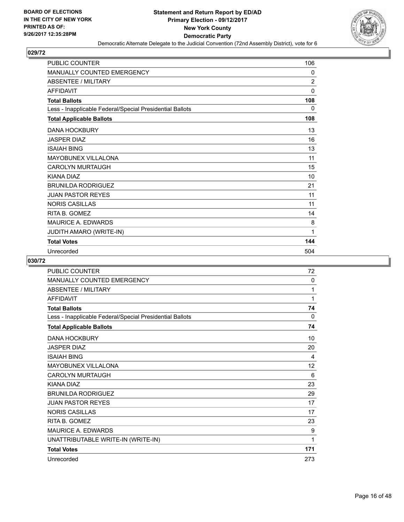

| <b>PUBLIC COUNTER</b>                                    | 106            |
|----------------------------------------------------------|----------------|
| <b>MANUALLY COUNTED EMERGENCY</b>                        | 0              |
| <b>ABSENTEE / MILITARY</b>                               | $\overline{2}$ |
| <b>AFFIDAVIT</b>                                         | $\mathbf{0}$   |
| <b>Total Ballots</b>                                     | 108            |
| Less - Inapplicable Federal/Special Presidential Ballots | 0              |
| <b>Total Applicable Ballots</b>                          | 108            |
| <b>DANA HOCKBURY</b>                                     | 13             |
| <b>JASPER DIAZ</b>                                       | 16             |
| <b>ISAIAH BING</b>                                       | 13             |
| <b>MAYOBUNEX VILLALONA</b>                               | 11             |
| <b>CAROLYN MURTAUGH</b>                                  | 15             |
| <b>KIANA DIAZ</b>                                        | 10             |
| <b>BRUNILDA RODRIGUEZ</b>                                | 21             |
| <b>JUAN PASTOR REYES</b>                                 | 11             |
| <b>NORIS CASILLAS</b>                                    | 11             |
| RITA B. GOMEZ                                            | 14             |
| MAURICE A. EDWARDS                                       | 8              |
| <b>JUDITH AMARO (WRITE-IN)</b>                           | 1              |
| <b>Total Votes</b>                                       | 144            |
| Unrecorded                                               | 504            |

| <b>PUBLIC COUNTER</b>                                    | 72           |
|----------------------------------------------------------|--------------|
| <b>MANUALLY COUNTED EMERGENCY</b>                        | $\mathbf{0}$ |
| <b>ABSENTEE / MILITARY</b>                               | 1            |
| <b>AFFIDAVIT</b>                                         | 1            |
| <b>Total Ballots</b>                                     | 74           |
| Less - Inapplicable Federal/Special Presidential Ballots | $\mathbf{0}$ |
| <b>Total Applicable Ballots</b>                          | 74           |
| <b>DANA HOCKBURY</b>                                     | 10           |
| <b>JASPER DIAZ</b>                                       | 20           |
| <b>ISAIAH BING</b>                                       | 4            |
| <b>MAYOBUNEX VILLALONA</b>                               | 12           |
| <b>CAROLYN MURTAUGH</b>                                  | 6            |
| KIANA DIAZ                                               | 23           |
| <b>BRUNILDA RODRIGUEZ</b>                                | 29           |
| <b>JUAN PASTOR REYES</b>                                 | 17           |
| <b>NORIS CASILLAS</b>                                    | 17           |
| RITA B. GOMEZ                                            | 23           |
| MAURICE A. EDWARDS                                       | 9            |
| UNATTRIBUTABLE WRITE-IN (WRITE-IN)                       | 1            |
| <b>Total Votes</b>                                       | 171          |
| Unrecorded                                               | 273          |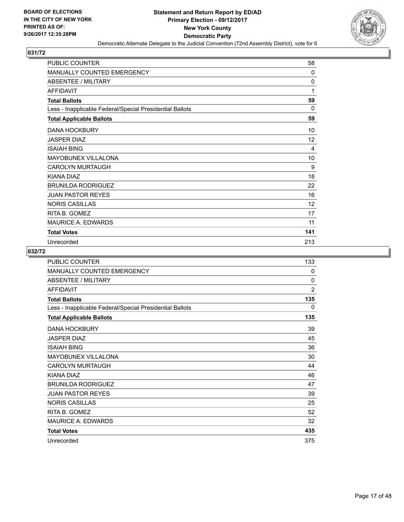

| <b>PUBLIC COUNTER</b>                                    | 58           |
|----------------------------------------------------------|--------------|
| MANUALLY COUNTED EMERGENCY                               | $\mathbf{0}$ |
| ABSENTEE / MILITARY                                      | $\mathbf{0}$ |
| <b>AFFIDAVIT</b>                                         | 1            |
| <b>Total Ballots</b>                                     | 59           |
| Less - Inapplicable Federal/Special Presidential Ballots | 0            |
| <b>Total Applicable Ballots</b>                          | 59           |
| <b>DANA HOCKBURY</b>                                     | 10           |
| <b>JASPER DIAZ</b>                                       | 12           |
| <b>ISAIAH BING</b>                                       | 4            |
| <b>MAYOBUNEX VILLALONA</b>                               | 10           |
| <b>CAROLYN MURTAUGH</b>                                  | 9            |
| KIANA DIAZ                                               | 18           |
| <b>BRUNILDA RODRIGUEZ</b>                                | 22           |
| <b>JUAN PASTOR REYES</b>                                 | 16           |
| <b>NORIS CASILLAS</b>                                    | 12           |
| RITA B. GOMEZ                                            | 17           |
| <b>MAURICE A. EDWARDS</b>                                | 11           |
| <b>Total Votes</b>                                       | 141          |
| Unrecorded                                               | 213          |

| <b>PUBLIC COUNTER</b>                                    | 133          |
|----------------------------------------------------------|--------------|
| <b>MANUALLY COUNTED EMERGENCY</b>                        | 0            |
| ABSENTEE / MILITARY                                      | $\mathbf{0}$ |
| <b>AFFIDAVIT</b>                                         | 2            |
| <b>Total Ballots</b>                                     | 135          |
| Less - Inapplicable Federal/Special Presidential Ballots | 0            |
| <b>Total Applicable Ballots</b>                          | 135          |
| <b>DANA HOCKBURY</b>                                     | 39           |
| <b>JASPER DIAZ</b>                                       | 45           |
| <b>ISAIAH BING</b>                                       | 36           |
| <b>MAYOBUNEX VILLALONA</b>                               | 30           |
| <b>CAROLYN MURTAUGH</b>                                  | 44           |
| KIANA DIAZ                                               | 46           |
| <b>BRUNILDA RODRIGUEZ</b>                                | 47           |
| <b>JUAN PASTOR REYES</b>                                 | 39           |
| <b>NORIS CASILLAS</b>                                    | 25           |
| RITA B. GOMEZ                                            | 52           |
| <b>MAURICE A. EDWARDS</b>                                | 32           |
| <b>Total Votes</b>                                       | 435          |
| Unrecorded                                               | 375          |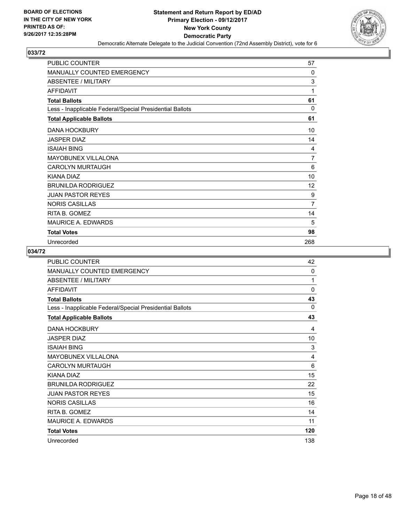

| <b>PUBLIC COUNTER</b>                                    | 57  |
|----------------------------------------------------------|-----|
| <b>MANUALLY COUNTED EMERGENCY</b>                        | 0   |
| <b>ABSENTEE / MILITARY</b>                               | 3   |
| <b>AFFIDAVIT</b>                                         | 1   |
| <b>Total Ballots</b>                                     | 61  |
| Less - Inapplicable Federal/Special Presidential Ballots | 0   |
| <b>Total Applicable Ballots</b>                          | 61  |
| <b>DANA HOCKBURY</b>                                     | 10  |
| <b>JASPER DIAZ</b>                                       | 14  |
| <b>ISAIAH BING</b>                                       | 4   |
| <b>MAYOBUNEX VILLALONA</b>                               | 7   |
| <b>CAROLYN MURTAUGH</b>                                  | 6   |
| KIANA DIAZ                                               | 10  |
| <b>BRUNILDA RODRIGUEZ</b>                                | 12  |
| <b>JUAN PASTOR REYES</b>                                 | 9   |
| <b>NORIS CASILLAS</b>                                    | 7   |
| RITA B. GOMEZ                                            | 14  |
| <b>MAURICE A. EDWARDS</b>                                | 5   |
| <b>Total Votes</b>                                       | 98  |
| Unrecorded                                               | 268 |

| <b>PUBLIC COUNTER</b>                                    | 42  |
|----------------------------------------------------------|-----|
| MANUALLY COUNTED EMERGENCY                               | 0   |
| <b>ABSENTEE / MILITARY</b>                               | 1   |
| <b>AFFIDAVIT</b>                                         | 0   |
| <b>Total Ballots</b>                                     | 43  |
| Less - Inapplicable Federal/Special Presidential Ballots | 0   |
| <b>Total Applicable Ballots</b>                          | 43  |
| <b>DANA HOCKBURY</b>                                     | 4   |
| <b>JASPER DIAZ</b>                                       | 10  |
| <b>ISAIAH BING</b>                                       | 3   |
| MAYOBUNEX VILLALONA                                      | 4   |
| <b>CAROLYN MURTAUGH</b>                                  | 6   |
| KIANA DIAZ                                               | 15  |
| <b>BRUNILDA RODRIGUEZ</b>                                | 22  |
| <b>JUAN PASTOR REYES</b>                                 | 15  |
| <b>NORIS CASILLAS</b>                                    | 16  |
| RITA B. GOMEZ                                            | 14  |
| <b>MAURICE A. EDWARDS</b>                                | 11  |
| <b>Total Votes</b>                                       | 120 |
| Unrecorded                                               | 138 |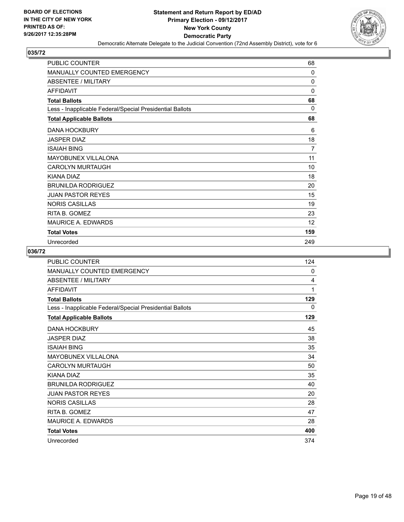

| <b>PUBLIC COUNTER</b>                                    | 68           |
|----------------------------------------------------------|--------------|
| <b>MANUALLY COUNTED EMERGENCY</b>                        | 0            |
| <b>ABSENTEE / MILITARY</b>                               | $\mathbf{0}$ |
| <b>AFFIDAVIT</b>                                         | $\mathbf{0}$ |
| <b>Total Ballots</b>                                     | 68           |
| Less - Inapplicable Federal/Special Presidential Ballots | 0            |
| <b>Total Applicable Ballots</b>                          | 68           |
| <b>DANA HOCKBURY</b>                                     | 6            |
| <b>JASPER DIAZ</b>                                       | 18           |
| <b>ISAIAH BING</b>                                       | 7            |
| <b>MAYOBUNEX VILLALONA</b>                               | 11           |
| <b>CAROLYN MURTAUGH</b>                                  | 10           |
| KIANA DIAZ                                               | 18           |
| <b>BRUNILDA RODRIGUEZ</b>                                | 20           |
| <b>JUAN PASTOR REYES</b>                                 | 15           |
| <b>NORIS CASILLAS</b>                                    | 19           |
| RITA B. GOMEZ                                            | 23           |
| <b>MAURICE A. EDWARDS</b>                                | 12           |
| <b>Total Votes</b>                                       | 159          |
| Unrecorded                                               | 249          |

| <b>PUBLIC COUNTER</b>                                    | 124 |
|----------------------------------------------------------|-----|
| MANUALLY COUNTED EMERGENCY                               | 0   |
| <b>ABSENTEE / MILITARY</b>                               | 4   |
| <b>AFFIDAVIT</b>                                         | 1   |
| <b>Total Ballots</b>                                     | 129 |
| Less - Inapplicable Federal/Special Presidential Ballots | 0   |
| <b>Total Applicable Ballots</b>                          | 129 |
| <b>DANA HOCKBURY</b>                                     | 45  |
| <b>JASPER DIAZ</b>                                       | 38  |
| <b>ISAIAH BING</b>                                       | 35  |
| MAYOBUNEX VILLALONA                                      | 34  |
| <b>CAROLYN MURTAUGH</b>                                  | 50  |
| KIANA DIAZ                                               | 35  |
| <b>BRUNILDA RODRIGUEZ</b>                                | 40  |
| <b>JUAN PASTOR REYES</b>                                 | 20  |
| <b>NORIS CASILLAS</b>                                    | 28  |
| RITA B. GOMEZ                                            | 47  |
| <b>MAURICE A. EDWARDS</b>                                | 28  |
| <b>Total Votes</b>                                       | 400 |
| Unrecorded                                               | 374 |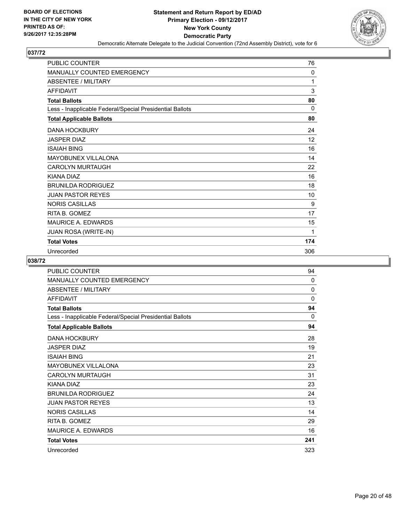

| PUBLIC COUNTER                                           | 76       |
|----------------------------------------------------------|----------|
| <b>MANUALLY COUNTED EMERGENCY</b>                        | 0        |
| <b>ABSENTEE / MILITARY</b>                               | 1        |
| <b>AFFIDAVIT</b>                                         | 3        |
| <b>Total Ballots</b>                                     | 80       |
| Less - Inapplicable Federal/Special Presidential Ballots | $\Omega$ |
| <b>Total Applicable Ballots</b>                          | 80       |
| <b>DANA HOCKBURY</b>                                     | 24       |
| <b>JASPER DIAZ</b>                                       | 12       |
| <b>ISAIAH BING</b>                                       | 16       |
| <b>MAYOBUNEX VILLALONA</b>                               | 14       |
| <b>CAROLYN MURTAUGH</b>                                  | 22       |
| <b>KIANA DIAZ</b>                                        | 16       |
| <b>BRUNILDA RODRIGUEZ</b>                                | 18       |
| <b>JUAN PASTOR REYES</b>                                 | 10       |
| <b>NORIS CASILLAS</b>                                    | 9        |
| RITA B. GOMEZ                                            | 17       |
| <b>MAURICE A. EDWARDS</b>                                | 15       |
| <b>JUAN ROSA (WRITE-IN)</b>                              | 1        |
| <b>Total Votes</b>                                       | 174      |
| Unrecorded                                               | 306      |

| PUBLIC COUNTER                                           | 94  |
|----------------------------------------------------------|-----|
| MANUALLY COUNTED EMERGENCY                               | 0   |
| ABSENTEE / MILITARY                                      | 0   |
| <b>AFFIDAVIT</b>                                         | 0   |
| <b>Total Ballots</b>                                     | 94  |
| Less - Inapplicable Federal/Special Presidential Ballots | 0   |
| <b>Total Applicable Ballots</b>                          | 94  |
| <b>DANA HOCKBURY</b>                                     | 28  |
| <b>JASPER DIAZ</b>                                       | 19  |
| <b>ISAIAH BING</b>                                       | 21  |
| MAYOBUNEX VILLALONA                                      | 23  |
| <b>CAROLYN MURTAUGH</b>                                  | 31  |
| <b>KIANA DIAZ</b>                                        | 23  |
| <b>BRUNILDA RODRIGUEZ</b>                                | 24  |
| <b>JUAN PASTOR REYES</b>                                 | 13  |
| <b>NORIS CASILLAS</b>                                    | 14  |
| RITA B. GOMEZ                                            | 29  |
| <b>MAURICE A. EDWARDS</b>                                | 16  |
| <b>Total Votes</b>                                       | 241 |
| Unrecorded                                               | 323 |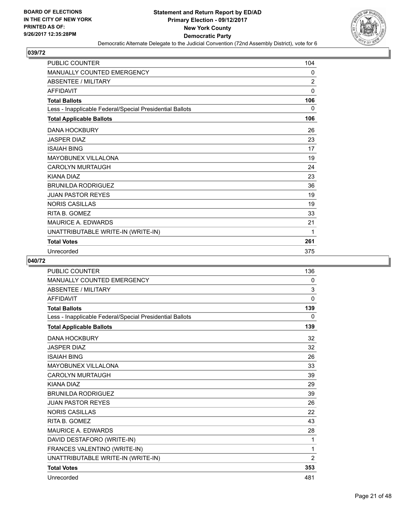

| PUBLIC COUNTER                                           | 104            |
|----------------------------------------------------------|----------------|
| <b>MANUALLY COUNTED EMERGENCY</b>                        | 0              |
| <b>ABSENTEE / MILITARY</b>                               | $\overline{2}$ |
| <b>AFFIDAVIT</b>                                         | 0              |
| <b>Total Ballots</b>                                     | 106            |
| Less - Inapplicable Federal/Special Presidential Ballots | 0              |
| <b>Total Applicable Ballots</b>                          | 106            |
| <b>DANA HOCKBURY</b>                                     | 26             |
| <b>JASPER DIAZ</b>                                       | 23             |
| <b>ISAIAH BING</b>                                       | 17             |
| <b>MAYOBUNEX VILLALONA</b>                               | 19             |
| <b>CAROLYN MURTAUGH</b>                                  | 24             |
| <b>KIANA DIAZ</b>                                        | 23             |
| <b>BRUNILDA RODRIGUEZ</b>                                | 36             |
| <b>JUAN PASTOR REYES</b>                                 | 19             |
| <b>NORIS CASILLAS</b>                                    | 19             |
| RITA B. GOMEZ                                            | 33             |
| MAURICE A. EDWARDS                                       | 21             |
| UNATTRIBUTABLE WRITE-IN (WRITE-IN)                       | 1              |
| <b>Total Votes</b>                                       | 261            |
| Unrecorded                                               | 375            |

| <b>PUBLIC COUNTER</b>                                    | 136      |
|----------------------------------------------------------|----------|
| MANUALLY COUNTED EMERGENCY                               | 0        |
| <b>ABSENTEE / MILITARY</b>                               | 3        |
| <b>AFFIDAVIT</b>                                         | $\Omega$ |
| <b>Total Ballots</b>                                     | 139      |
| Less - Inapplicable Federal/Special Presidential Ballots | 0        |
| <b>Total Applicable Ballots</b>                          | 139      |
| <b>DANA HOCKBURY</b>                                     | 32       |
| <b>JASPER DIAZ</b>                                       | 32       |
| <b>ISAIAH BING</b>                                       | 26       |
| <b>MAYOBUNEX VILLALONA</b>                               | 33       |
| <b>CAROLYN MURTAUGH</b>                                  | 39       |
| <b>KIANA DIAZ</b>                                        | 29       |
| <b>BRUNILDA RODRIGUEZ</b>                                | 39       |
| <b>JUAN PASTOR REYES</b>                                 | 26       |
| <b>NORIS CASILLAS</b>                                    | 22       |
| RITA B. GOMEZ                                            | 43       |
| <b>MAURICE A. EDWARDS</b>                                | 28       |
| DAVID DESTAFORO (WRITE-IN)                               | 1        |
| FRANCES VALENTINO (WRITE-IN)                             | 1        |
| UNATTRIBUTABLE WRITE-IN (WRITE-IN)                       | 2        |
| <b>Total Votes</b>                                       | 353      |
| Unrecorded                                               | 481      |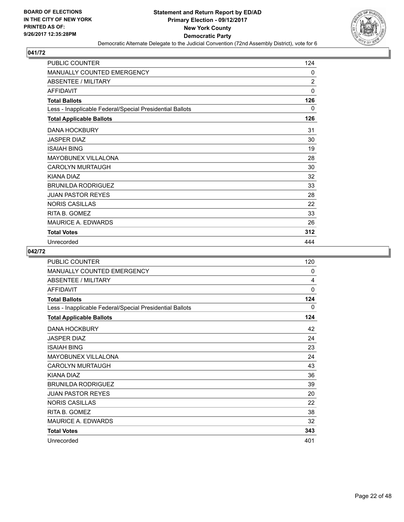

| <b>PUBLIC COUNTER</b>                                    | 124          |
|----------------------------------------------------------|--------------|
| MANUALLY COUNTED EMERGENCY                               | 0            |
| <b>ABSENTEE / MILITARY</b>                               | 2            |
| <b>AFFIDAVIT</b>                                         | $\mathbf{0}$ |
| <b>Total Ballots</b>                                     | 126          |
| Less - Inapplicable Federal/Special Presidential Ballots | 0            |
| <b>Total Applicable Ballots</b>                          | 126          |
| <b>DANA HOCKBURY</b>                                     | 31           |
| <b>JASPER DIAZ</b>                                       | 30           |
| <b>ISAIAH BING</b>                                       | 19           |
| <b>MAYOBUNEX VILLALONA</b>                               | 28           |
| <b>CAROLYN MURTAUGH</b>                                  | 30           |
| KIANA DIAZ                                               | 32           |
| <b>BRUNILDA RODRIGUEZ</b>                                | 33           |
| <b>JUAN PASTOR REYES</b>                                 | 28           |
| <b>NORIS CASILLAS</b>                                    | 22           |
| RITA B. GOMEZ                                            | 33           |
| <b>MAURICE A. EDWARDS</b>                                | 26           |
| <b>Total Votes</b>                                       | 312          |
| Unrecorded                                               | 444          |

| <b>PUBLIC COUNTER</b>                                    | 120          |
|----------------------------------------------------------|--------------|
| <b>MANUALLY COUNTED EMERGENCY</b>                        | 0            |
| ABSENTEE / MILITARY                                      | 4            |
| <b>AFFIDAVIT</b>                                         | $\mathbf{0}$ |
| <b>Total Ballots</b>                                     | 124          |
| Less - Inapplicable Federal/Special Presidential Ballots | 0            |
| <b>Total Applicable Ballots</b>                          | 124          |
| <b>DANA HOCKBURY</b>                                     | 42           |
| <b>JASPER DIAZ</b>                                       | 24           |
| <b>ISAIAH BING</b>                                       | 23           |
| MAYOBUNEX VILLALONA                                      | 24           |
| <b>CAROLYN MURTAUGH</b>                                  | 43           |
| KIANA DIAZ                                               | 36           |
| <b>BRUNILDA RODRIGUEZ</b>                                | 39           |
| <b>JUAN PASTOR REYES</b>                                 | 20           |
| <b>NORIS CASILLAS</b>                                    | 22           |
| RITA B. GOMEZ                                            | 38           |
| <b>MAURICE A. EDWARDS</b>                                | 32           |
| <b>Total Votes</b>                                       | 343          |
| Unrecorded                                               | 401          |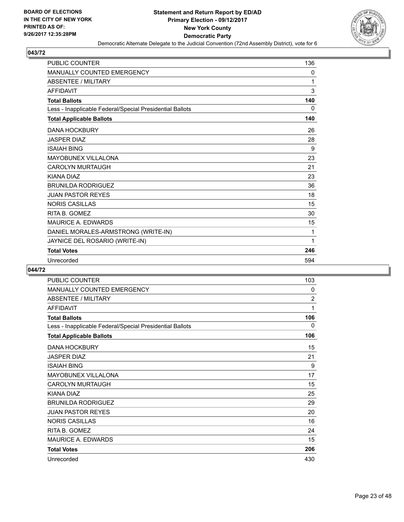

| <b>PUBLIC COUNTER</b>                                    | 136 |
|----------------------------------------------------------|-----|
| <b>MANUALLY COUNTED EMERGENCY</b>                        | 0   |
| <b>ABSENTEE / MILITARY</b>                               | 1   |
| <b>AFFIDAVIT</b>                                         | 3   |
| <b>Total Ballots</b>                                     | 140 |
| Less - Inapplicable Federal/Special Presidential Ballots | 0   |
| <b>Total Applicable Ballots</b>                          | 140 |
| <b>DANA HOCKBURY</b>                                     | 26  |
| <b>JASPER DIAZ</b>                                       | 28  |
| <b>ISAIAH BING</b>                                       | 9   |
| <b>MAYOBUNEX VILLALONA</b>                               | 23  |
| <b>CAROLYN MURTAUGH</b>                                  | 21  |
| KIANA DIAZ                                               | 23  |
| <b>BRUNILDA RODRIGUEZ</b>                                | 36  |
| <b>JUAN PASTOR REYES</b>                                 | 18  |
| <b>NORIS CASILLAS</b>                                    | 15  |
| RITA B. GOMEZ                                            | 30  |
| <b>MAURICE A. EDWARDS</b>                                | 15  |
| DANIEL MORALES-ARMSTRONG (WRITE-IN)                      | 1   |
| JAYNICE DEL ROSARIO (WRITE-IN)                           | 1   |
| <b>Total Votes</b>                                       | 246 |
| Unrecorded                                               | 594 |

| <b>PUBLIC COUNTER</b>                                    | 103            |
|----------------------------------------------------------|----------------|
| <b>MANUALLY COUNTED EMERGENCY</b>                        | 0              |
| <b>ABSENTEE / MILITARY</b>                               | $\overline{2}$ |
| <b>AFFIDAVIT</b>                                         | 1              |
| <b>Total Ballots</b>                                     | 106            |
| Less - Inapplicable Federal/Special Presidential Ballots | 0              |
| <b>Total Applicable Ballots</b>                          | 106            |
| <b>DANA HOCKBURY</b>                                     | 15             |
| <b>JASPER DIAZ</b>                                       | 21             |
| <b>ISAIAH BING</b>                                       | 9              |
| <b>MAYOBUNEX VILLALONA</b>                               | 17             |
| <b>CAROLYN MURTAUGH</b>                                  | 15             |
| KIANA DIAZ                                               | 25             |
| <b>BRUNILDA RODRIGUEZ</b>                                | 29             |
| <b>JUAN PASTOR REYES</b>                                 | 20             |
| <b>NORIS CASILLAS</b>                                    | 16             |
| RITA B. GOMEZ                                            | 24             |
| <b>MAURICE A. EDWARDS</b>                                | 15             |
| <b>Total Votes</b>                                       | 206            |
| Unrecorded                                               | 430            |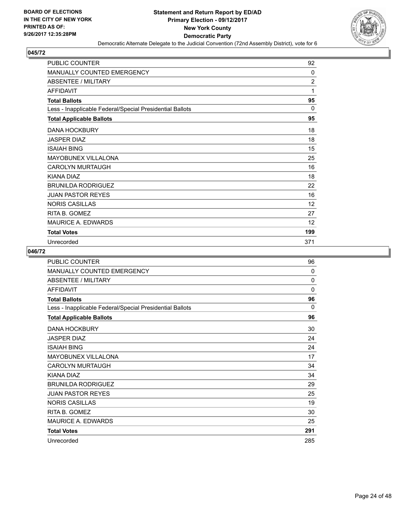

| <b>PUBLIC COUNTER</b>                                    | 92             |
|----------------------------------------------------------|----------------|
| MANUALLY COUNTED EMERGENCY                               | 0              |
| <b>ABSENTEE / MILITARY</b>                               | $\overline{c}$ |
| <b>AFFIDAVIT</b>                                         | 1              |
| <b>Total Ballots</b>                                     | 95             |
| Less - Inapplicable Federal/Special Presidential Ballots | $\Omega$       |
| <b>Total Applicable Ballots</b>                          | 95             |
| <b>DANA HOCKBURY</b>                                     | 18             |
| <b>JASPER DIAZ</b>                                       | 18             |
| <b>ISAIAH BING</b>                                       | 15             |
| <b>MAYOBUNEX VILLALONA</b>                               | 25             |
| <b>CAROLYN MURTAUGH</b>                                  | 16             |
| <b>KIANA DIAZ</b>                                        | 18             |
| <b>BRUNILDA RODRIGUEZ</b>                                | 22             |
| <b>JUAN PASTOR REYES</b>                                 | 16             |
| <b>NORIS CASILLAS</b>                                    | 12             |
| RITA B. GOMEZ                                            | 27             |
| <b>MAURICE A. EDWARDS</b>                                | 12             |
| <b>Total Votes</b>                                       | 199            |
| Unrecorded                                               | 371            |

| <b>PUBLIC COUNTER</b>                                    | 96           |
|----------------------------------------------------------|--------------|
| MANUALLY COUNTED EMERGENCY                               | 0            |
| <b>ABSENTEE / MILITARY</b>                               | $\mathbf{0}$ |
| <b>AFFIDAVIT</b>                                         | $\mathbf{0}$ |
| <b>Total Ballots</b>                                     | 96           |
| Less - Inapplicable Federal/Special Presidential Ballots | $\Omega$     |
| <b>Total Applicable Ballots</b>                          | 96           |
| <b>DANA HOCKBURY</b>                                     | 30           |
| <b>JASPER DIAZ</b>                                       | 24           |
| <b>ISAIAH BING</b>                                       | 24           |
| MAYOBUNEX VILLALONA                                      | 17           |
| <b>CAROLYN MURTAUGH</b>                                  | 34           |
| KIANA DIAZ                                               | 34           |
| <b>BRUNILDA RODRIGUEZ</b>                                | 29           |
| <b>JUAN PASTOR REYES</b>                                 | 25           |
| <b>NORIS CASILLAS</b>                                    | 19           |
| RITA B. GOMEZ                                            | 30           |
| <b>MAURICE A. EDWARDS</b>                                | 25           |
| <b>Total Votes</b>                                       | 291          |
| Unrecorded                                               | 285          |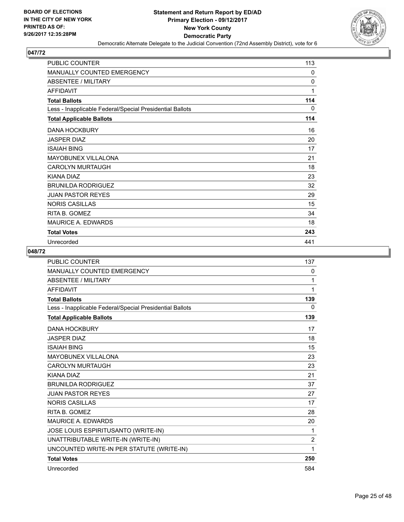

| <b>PUBLIC COUNTER</b>                                    | 113          |
|----------------------------------------------------------|--------------|
| <b>MANUALLY COUNTED EMERGENCY</b>                        | 0            |
| <b>ABSENTEE / MILITARY</b>                               | $\mathbf{0}$ |
| <b>AFFIDAVIT</b>                                         | 1            |
| <b>Total Ballots</b>                                     | 114          |
| Less - Inapplicable Federal/Special Presidential Ballots | 0            |
| <b>Total Applicable Ballots</b>                          | 114          |
| <b>DANA HOCKBURY</b>                                     | 16           |
| <b>JASPER DIAZ</b>                                       | 20           |
| <b>ISAIAH BING</b>                                       | 17           |
| <b>MAYOBUNEX VILLALONA</b>                               | 21           |
| <b>CAROLYN MURTAUGH</b>                                  | 18           |
| KIANA DIAZ                                               | 23           |
| <b>BRUNILDA RODRIGUEZ</b>                                | 32           |
| <b>JUAN PASTOR REYES</b>                                 | 29           |
| <b>NORIS CASILLAS</b>                                    | 15           |
| RITA B. GOMEZ                                            | 34           |
| <b>MAURICE A. EDWARDS</b>                                | 18           |
| <b>Total Votes</b>                                       | 243          |
| Unrecorded                                               | 441          |

| <b>PUBLIC COUNTER</b>                                    | 137            |
|----------------------------------------------------------|----------------|
| <b>MANUALLY COUNTED EMERGENCY</b>                        | 0              |
| <b>ABSENTEE / MILITARY</b>                               | 1              |
| <b>AFFIDAVIT</b>                                         | 1              |
| <b>Total Ballots</b>                                     | 139            |
| Less - Inapplicable Federal/Special Presidential Ballots | $\Omega$       |
| <b>Total Applicable Ballots</b>                          | 139            |
| <b>DANA HOCKBURY</b>                                     | 17             |
| <b>JASPER DIAZ</b>                                       | 18             |
| <b>ISAIAH BING</b>                                       | 15             |
| <b>MAYOBUNEX VILLALONA</b>                               | 23             |
| <b>CAROLYN MURTAUGH</b>                                  | 23             |
| KIANA DIAZ                                               | 21             |
| <b>BRUNILDA RODRIGUEZ</b>                                | 37             |
| <b>JUAN PASTOR REYES</b>                                 | 27             |
| <b>NORIS CASILLAS</b>                                    | 17             |
| RITA B. GOMEZ                                            | 28             |
| <b>MAURICE A. EDWARDS</b>                                | 20             |
| JOSE LOUIS ESPIRITUSANTO (WRITE-IN)                      | 1              |
| UNATTRIBUTABLE WRITE-IN (WRITE-IN)                       | $\overline{2}$ |
| UNCOUNTED WRITE-IN PER STATUTE (WRITE-IN)                | 1              |
| <b>Total Votes</b>                                       | 250            |
| Unrecorded                                               | 584            |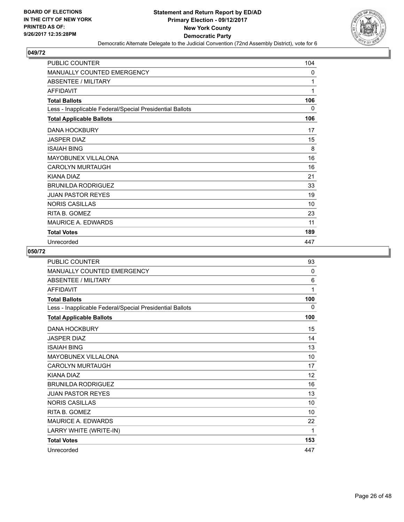

| <b>PUBLIC COUNTER</b>                                    | 104 |
|----------------------------------------------------------|-----|
| <b>MANUALLY COUNTED EMERGENCY</b>                        | 0   |
| ABSENTEE / MILITARY                                      | 1   |
| <b>AFFIDAVIT</b>                                         | 1   |
| <b>Total Ballots</b>                                     | 106 |
| Less - Inapplicable Federal/Special Presidential Ballots | 0   |
| <b>Total Applicable Ballots</b>                          | 106 |
| <b>DANA HOCKBURY</b>                                     | 17  |
| <b>JASPER DIAZ</b>                                       | 15  |
| <b>ISAIAH BING</b>                                       | 8   |
| <b>MAYOBUNEX VILLALONA</b>                               | 16  |
| <b>CAROLYN MURTAUGH</b>                                  | 16  |
| KIANA DIAZ                                               | 21  |
| <b>BRUNILDA RODRIGUEZ</b>                                | 33  |
| <b>JUAN PASTOR REYES</b>                                 | 19  |
| <b>NORIS CASILLAS</b>                                    | 10  |
| RITA B. GOMEZ                                            | 23  |
| <b>MAURICE A. EDWARDS</b>                                | 11  |
| <b>Total Votes</b>                                       | 189 |
| Unrecorded                                               | 447 |

| <b>PUBLIC COUNTER</b>                                    | 93           |
|----------------------------------------------------------|--------------|
| MANUALLY COUNTED EMERGENCY                               | $\mathbf{0}$ |
| ABSENTEE / MILITARY                                      | 6            |
| <b>AFFIDAVIT</b>                                         | 1            |
| <b>Total Ballots</b>                                     | 100          |
| Less - Inapplicable Federal/Special Presidential Ballots | $\mathbf{0}$ |
| <b>Total Applicable Ballots</b>                          | 100          |
| <b>DANA HOCKBURY</b>                                     | 15           |
| <b>JASPER DIAZ</b>                                       | 14           |
| <b>ISAIAH BING</b>                                       | 13           |
| MAYOBUNEX VILLALONA                                      | 10           |
| <b>CAROLYN MURTAUGH</b>                                  | 17           |
| KIANA DIAZ                                               | 12           |
| <b>BRUNILDA RODRIGUEZ</b>                                | 16           |
| <b>JUAN PASTOR REYES</b>                                 | 13           |
| <b>NORIS CASILLAS</b>                                    | 10           |
| RITA B. GOMEZ                                            | 10           |
| <b>MAURICE A. EDWARDS</b>                                | 22           |
| LARRY WHITE (WRITE-IN)                                   | 1            |
| <b>Total Votes</b>                                       | 153          |
| Unrecorded                                               | 447          |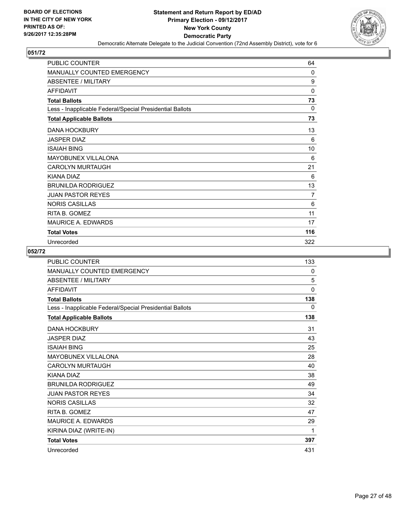

| <b>PUBLIC COUNTER</b>                                    | 64           |
|----------------------------------------------------------|--------------|
| <b>MANUALLY COUNTED EMERGENCY</b>                        | $\mathbf{0}$ |
| <b>ABSENTEE / MILITARY</b>                               | 9            |
| <b>AFFIDAVIT</b>                                         | $\mathbf{0}$ |
| <b>Total Ballots</b>                                     | 73           |
| Less - Inapplicable Federal/Special Presidential Ballots | $\Omega$     |
| <b>Total Applicable Ballots</b>                          | 73           |
| <b>DANA HOCKBURY</b>                                     | 13           |
| <b>JASPER DIAZ</b>                                       | 6            |
| <b>ISAIAH BING</b>                                       | 10           |
| <b>MAYOBUNEX VILLALONA</b>                               | 6            |
| <b>CAROLYN MURTAUGH</b>                                  | 21           |
| KIANA DIAZ                                               | 6            |
| <b>BRUNILDA RODRIGUEZ</b>                                | 13           |
| <b>JUAN PASTOR REYES</b>                                 | 7            |
| <b>NORIS CASILLAS</b>                                    | 6            |
| RITA B. GOMEZ                                            | 11           |
| <b>MAURICE A. EDWARDS</b>                                | 17           |
| <b>Total Votes</b>                                       | 116          |
| Unrecorded                                               | 322          |

| <b>PUBLIC COUNTER</b>                                    | 133          |
|----------------------------------------------------------|--------------|
| MANUALLY COUNTED EMERGENCY                               | 0            |
| ABSENTEE / MILITARY                                      | 5            |
| <b>AFFIDAVIT</b>                                         | $\mathbf 0$  |
| <b>Total Ballots</b>                                     | 138          |
| Less - Inapplicable Federal/Special Presidential Ballots | $\mathbf{0}$ |
| <b>Total Applicable Ballots</b>                          | 138          |
| <b>DANA HOCKBURY</b>                                     | 31           |
| <b>JASPER DIAZ</b>                                       | 43           |
| <b>ISAIAH BING</b>                                       | 25           |
| MAYOBUNEX VILLALONA                                      | 28           |
| <b>CAROLYN MURTAUGH</b>                                  | 40           |
| KIANA DIAZ                                               | 38           |
| <b>BRUNILDA RODRIGUEZ</b>                                | 49           |
| <b>JUAN PASTOR REYES</b>                                 | 34           |
| <b>NORIS CASILLAS</b>                                    | 32           |
| RITA B. GOMEZ                                            | 47           |
| <b>MAURICE A. EDWARDS</b>                                | 29           |
| KIRINA DIAZ (WRITE-IN)                                   | 1            |
| <b>Total Votes</b>                                       | 397          |
| Unrecorded                                               | 431          |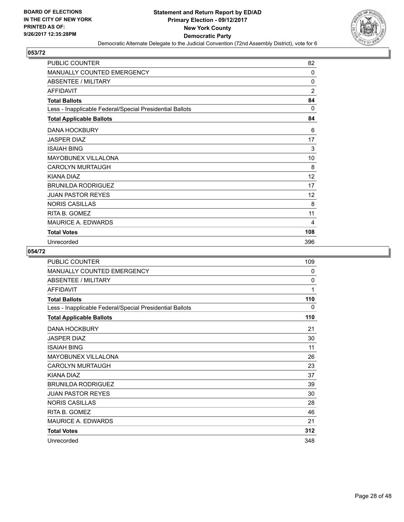

| <b>PUBLIC COUNTER</b>                                    | 82             |
|----------------------------------------------------------|----------------|
| <b>MANUALLY COUNTED EMERGENCY</b>                        | 0              |
| ABSENTEE / MILITARY                                      | 0              |
| <b>AFFIDAVIT</b>                                         | $\overline{2}$ |
| <b>Total Ballots</b>                                     | 84             |
| Less - Inapplicable Federal/Special Presidential Ballots | $\Omega$       |
| <b>Total Applicable Ballots</b>                          | 84             |
| <b>DANA HOCKBURY</b>                                     | 6              |
| <b>JASPER DIAZ</b>                                       | 17             |
| <b>ISAIAH BING</b>                                       | 3              |
| <b>MAYOBUNEX VILLALONA</b>                               | 10             |
| <b>CAROLYN MURTAUGH</b>                                  | 8              |
| KIANA DIAZ                                               | 12             |
| <b>BRUNILDA RODRIGUEZ</b>                                | 17             |
| <b>JUAN PASTOR REYES</b>                                 | 12             |
| <b>NORIS CASILLAS</b>                                    | 8              |
| RITA B. GOMEZ                                            | 11             |
| <b>MAURICE A. EDWARDS</b>                                | 4              |
| <b>Total Votes</b>                                       | 108            |
| Unrecorded                                               | 396            |

| PUBLIC COUNTER                                           | 109 |
|----------------------------------------------------------|-----|
| MANUALLY COUNTED EMERGENCY                               | 0   |
| <b>ABSENTEE / MILITARY</b>                               | 0   |
| <b>AFFIDAVIT</b>                                         | 1   |
| <b>Total Ballots</b>                                     | 110 |
| Less - Inapplicable Federal/Special Presidential Ballots | 0   |
| <b>Total Applicable Ballots</b>                          | 110 |
| <b>DANA HOCKBURY</b>                                     | 21  |
| <b>JASPER DIAZ</b>                                       | 30  |
| <b>ISAIAH BING</b>                                       | 11  |
| <b>MAYOBUNEX VILLALONA</b>                               | 26  |
| <b>CAROLYN MURTAUGH</b>                                  | 23  |
| KIANA DIAZ                                               | 37  |
| <b>BRUNILDA RODRIGUEZ</b>                                | 39  |
| <b>JUAN PASTOR REYES</b>                                 | 30  |
| <b>NORIS CASILLAS</b>                                    | 28  |
| RITA B. GOMEZ                                            | 46  |
| <b>MAURICE A. EDWARDS</b>                                | 21  |
| <b>Total Votes</b>                                       | 312 |
| Unrecorded                                               | 348 |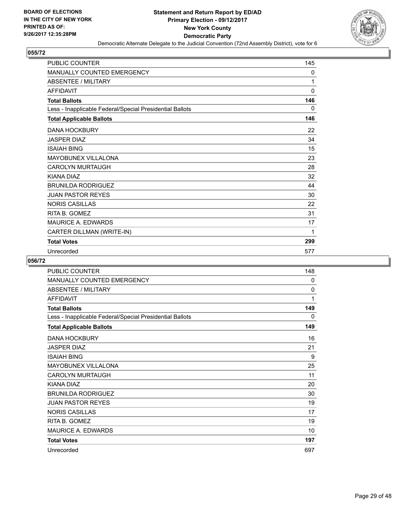

| PUBLIC COUNTER                                           | 145          |
|----------------------------------------------------------|--------------|
| <b>MANUALLY COUNTED EMERGENCY</b>                        | 0            |
| <b>ABSENTEE / MILITARY</b>                               | 1            |
| <b>AFFIDAVIT</b>                                         | $\mathbf{0}$ |
| <b>Total Ballots</b>                                     | 146          |
| Less - Inapplicable Federal/Special Presidential Ballots | $\Omega$     |
| <b>Total Applicable Ballots</b>                          | 146          |
| <b>DANA HOCKBURY</b>                                     | 22           |
| <b>JASPER DIAZ</b>                                       | 34           |
| <b>ISAIAH BING</b>                                       | 15           |
| <b>MAYOBUNEX VILLALONA</b>                               | 23           |
| <b>CAROLYN MURTAUGH</b>                                  | 28           |
| <b>KIANA DIAZ</b>                                        | 32           |
| <b>BRUNILDA RODRIGUEZ</b>                                | 44           |
| <b>JUAN PASTOR REYES</b>                                 | 30           |
| <b>NORIS CASILLAS</b>                                    | 22           |
| RITA B. GOMEZ                                            | 31           |
| <b>MAURICE A. EDWARDS</b>                                | 17           |
| CARTER DILLMAN (WRITE-IN)                                | 1            |
| <b>Total Votes</b>                                       | 299          |
| Unrecorded                                               | 577          |

| <b>PUBLIC COUNTER</b>                                    | 148 |
|----------------------------------------------------------|-----|
| MANUALLY COUNTED EMERGENCY                               | 0   |
| <b>ABSENTEE / MILITARY</b>                               | 0   |
| <b>AFFIDAVIT</b>                                         | 1   |
| <b>Total Ballots</b>                                     | 149 |
| Less - Inapplicable Federal/Special Presidential Ballots | 0   |
| <b>Total Applicable Ballots</b>                          | 149 |
| <b>DANA HOCKBURY</b>                                     | 16  |
| <b>JASPER DIAZ</b>                                       | 21  |
| <b>ISAIAH BING</b>                                       | 9   |
| <b>MAYOBUNEX VILLALONA</b>                               | 25  |
| <b>CAROLYN MURTAUGH</b>                                  | 11  |
| KIANA DIAZ                                               | 20  |
| <b>BRUNILDA RODRIGUEZ</b>                                | 30  |
| <b>JUAN PASTOR REYES</b>                                 | 19  |
| <b>NORIS CASILLAS</b>                                    | 17  |
| RITA B. GOMEZ                                            | 19  |
| <b>MAURICE A. EDWARDS</b>                                | 10  |
| <b>Total Votes</b>                                       | 197 |
| Unrecorded                                               | 697 |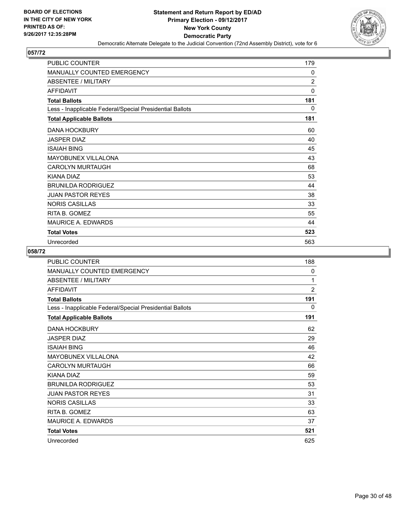

| <b>PUBLIC COUNTER</b>                                    | 179      |
|----------------------------------------------------------|----------|
| <b>MANUALLY COUNTED EMERGENCY</b>                        | 0        |
| <b>ABSENTEE / MILITARY</b>                               | 2        |
| <b>AFFIDAVIT</b>                                         | $\Omega$ |
| <b>Total Ballots</b>                                     | 181      |
| Less - Inapplicable Federal/Special Presidential Ballots | 0        |
| <b>Total Applicable Ballots</b>                          | 181      |
| <b>DANA HOCKBURY</b>                                     | 60       |
| <b>JASPER DIAZ</b>                                       | 40       |
| <b>ISAIAH BING</b>                                       | 45       |
| <b>MAYOBUNEX VILLALONA</b>                               | 43       |
| <b>CAROLYN MURTAUGH</b>                                  | 68       |
| KIANA DIAZ                                               | 53       |
| <b>BRUNILDA RODRIGUEZ</b>                                | 44       |
| <b>JUAN PASTOR REYES</b>                                 | 38       |
| <b>NORIS CASILLAS</b>                                    | 33       |
| RITA B. GOMEZ                                            | 55       |
| <b>MAURICE A. EDWARDS</b>                                | 44       |
| <b>Total Votes</b>                                       | 523      |
| Unrecorded                                               | 563      |

| <b>PUBLIC COUNTER</b>                                    | 188            |
|----------------------------------------------------------|----------------|
| <b>MANUALLY COUNTED EMERGENCY</b>                        | 0              |
| ABSENTEE / MILITARY                                      | 1              |
| <b>AFFIDAVIT</b>                                         | $\overline{2}$ |
| <b>Total Ballots</b>                                     | 191            |
| Less - Inapplicable Federal/Special Presidential Ballots | 0              |
| <b>Total Applicable Ballots</b>                          | 191            |
| <b>DANA HOCKBURY</b>                                     | 62             |
| <b>JASPER DIAZ</b>                                       | 29             |
| <b>ISAIAH BING</b>                                       | 46             |
| MAYOBUNEX VILLALONA                                      | 42             |
| <b>CAROLYN MURTAUGH</b>                                  | 66             |
| KIANA DIAZ                                               | 59             |
| <b>BRUNILDA RODRIGUEZ</b>                                | 53             |
| <b>JUAN PASTOR REYES</b>                                 | 31             |
| <b>NORIS CASILLAS</b>                                    | 33             |
| RITA B. GOMEZ                                            | 63             |
| <b>MAURICE A. EDWARDS</b>                                | 37             |
| <b>Total Votes</b>                                       | 521            |
| Unrecorded                                               | 625            |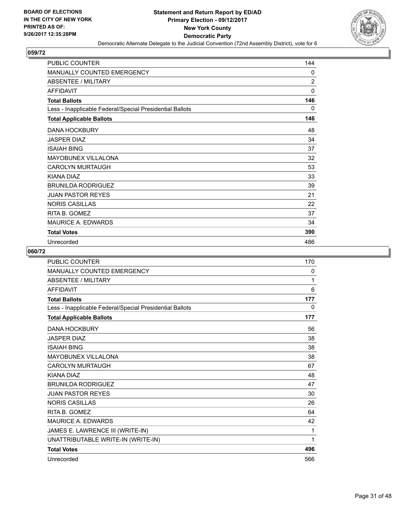

| PUBLIC COUNTER                                           | 144            |
|----------------------------------------------------------|----------------|
| MANUALLY COUNTED EMERGENCY                               | 0              |
| <b>ABSENTEE / MILITARY</b>                               | $\overline{2}$ |
| <b>AFFIDAVIT</b>                                         | $\mathbf{0}$   |
| <b>Total Ballots</b>                                     | 146            |
| Less - Inapplicable Federal/Special Presidential Ballots | 0              |
| <b>Total Applicable Ballots</b>                          | 146            |
| <b>DANA HOCKBURY</b>                                     | 48             |
| <b>JASPER DIAZ</b>                                       | 34             |
| <b>ISAIAH BING</b>                                       | 37             |
| <b>MAYOBUNEX VILLALONA</b>                               | 32             |
| <b>CAROLYN MURTAUGH</b>                                  | 53             |
| KIANA DIAZ                                               | 33             |
| <b>BRUNILDA RODRIGUEZ</b>                                | 39             |
| <b>JUAN PASTOR REYES</b>                                 | 21             |
| <b>NORIS CASILLAS</b>                                    | 22             |
| RITA B. GOMEZ                                            | 37             |
| <b>MAURICE A. EDWARDS</b>                                | 34             |
| <b>Total Votes</b>                                       | 390            |
| Unrecorded                                               | 486            |

| <b>PUBLIC COUNTER</b>                                    | 170 |
|----------------------------------------------------------|-----|
| MANUALLY COUNTED EMERGENCY                               | 0   |
| <b>ABSENTEE / MILITARY</b>                               | 1   |
| <b>AFFIDAVIT</b>                                         | 6   |
| <b>Total Ballots</b>                                     | 177 |
| Less - Inapplicable Federal/Special Presidential Ballots | 0   |
| <b>Total Applicable Ballots</b>                          | 177 |
| <b>DANA HOCKBURY</b>                                     | 56  |
| <b>JASPER DIAZ</b>                                       | 38  |
| <b>ISAIAH BING</b>                                       | 38  |
| <b>MAYOBUNEX VILLALONA</b>                               | 38  |
| <b>CAROLYN MURTAUGH</b>                                  | 67  |
| KIANA DIAZ                                               | 48  |
| <b>BRUNILDA RODRIGUEZ</b>                                | 47  |
| <b>JUAN PASTOR REYES</b>                                 | 30  |
| <b>NORIS CASILLAS</b>                                    | 26  |
| RITA B. GOMEZ                                            | 64  |
| <b>MAURICE A. EDWARDS</b>                                | 42  |
| JAMES E. LAWRENCE III (WRITE-IN)                         | 1   |
| UNATTRIBUTABLE WRITE-IN (WRITE-IN)                       | 1   |
| <b>Total Votes</b>                                       | 496 |
| Unrecorded                                               | 566 |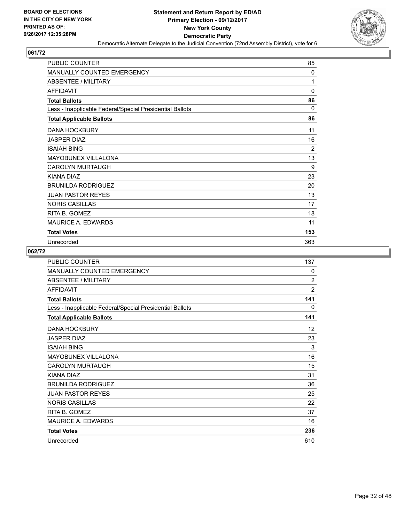

| <b>PUBLIC COUNTER</b>                                    | 85           |
|----------------------------------------------------------|--------------|
| <b>MANUALLY COUNTED EMERGENCY</b>                        | 0            |
| ABSENTEE / MILITARY                                      | 1            |
| <b>AFFIDAVIT</b>                                         | $\mathbf{0}$ |
| <b>Total Ballots</b>                                     | 86           |
| Less - Inapplicable Federal/Special Presidential Ballots | $\Omega$     |
| <b>Total Applicable Ballots</b>                          | 86           |
| <b>DANA HOCKBURY</b>                                     | 11           |
| <b>JASPER DIAZ</b>                                       | 16           |
| <b>ISAIAH BING</b>                                       | 2            |
| <b>MAYOBUNEX VILLALONA</b>                               | 13           |
| <b>CAROLYN MURTAUGH</b>                                  | 9            |
| KIANA DIAZ                                               | 23           |
| <b>BRUNILDA RODRIGUEZ</b>                                | 20           |
| <b>JUAN PASTOR REYES</b>                                 | 13           |
| <b>NORIS CASILLAS</b>                                    | 17           |
| RITA B. GOMEZ                                            | 18           |
| <b>MAURICE A. EDWARDS</b>                                | 11           |
| <b>Total Votes</b>                                       | 153          |
| Unrecorded                                               | 363          |

| <b>PUBLIC COUNTER</b>                                    | 137            |
|----------------------------------------------------------|----------------|
| <b>MANUALLY COUNTED EMERGENCY</b>                        | 0              |
| ABSENTEE / MILITARY                                      | $\overline{2}$ |
| <b>AFFIDAVIT</b>                                         | 2              |
| <b>Total Ballots</b>                                     | 141            |
| Less - Inapplicable Federal/Special Presidential Ballots | 0              |
| <b>Total Applicable Ballots</b>                          | 141            |
| <b>DANA HOCKBURY</b>                                     | 12             |
| <b>JASPER DIAZ</b>                                       | 23             |
| <b>ISAIAH BING</b>                                       | 3              |
| <b>MAYOBUNEX VILLALONA</b>                               | 16             |
| <b>CAROLYN MURTAUGH</b>                                  | 15             |
| KIANA DIAZ                                               | 31             |
| <b>BRUNILDA RODRIGUEZ</b>                                | 36             |
| <b>JUAN PASTOR REYES</b>                                 | 25             |
| <b>NORIS CASILLAS</b>                                    | 22             |
| RITA B. GOMEZ                                            | 37             |
| <b>MAURICE A. EDWARDS</b>                                | 16             |
| <b>Total Votes</b>                                       | 236            |
| Unrecorded                                               | 610            |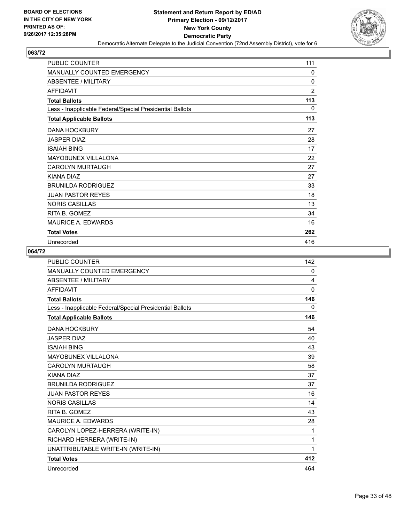

| <b>PUBLIC COUNTER</b>                                    | 111            |
|----------------------------------------------------------|----------------|
| <b>MANUALLY COUNTED EMERGENCY</b>                        | 0              |
| <b>ABSENTEE / MILITARY</b>                               | $\Omega$       |
| <b>AFFIDAVIT</b>                                         | $\overline{2}$ |
| <b>Total Ballots</b>                                     | 113            |
| Less - Inapplicable Federal/Special Presidential Ballots | $\Omega$       |
| <b>Total Applicable Ballots</b>                          | 113            |
| <b>DANA HOCKBURY</b>                                     | 27             |
| <b>JASPER DIAZ</b>                                       | 28             |
| <b>ISAIAH BING</b>                                       | 17             |
| <b>MAYOBUNEX VILLALONA</b>                               | 22             |
| <b>CAROLYN MURTAUGH</b>                                  | 27             |
| KIANA DIAZ                                               | 27             |
| <b>BRUNILDA RODRIGUEZ</b>                                | 33             |
| <b>JUAN PASTOR REYES</b>                                 | 18             |
| <b>NORIS CASILLAS</b>                                    | 13             |
| RITA B. GOMEZ                                            | 34             |
| <b>MAURICE A. EDWARDS</b>                                | 16             |
| <b>Total Votes</b>                                       | 262            |
| Unrecorded                                               | 416            |

| <b>PUBLIC COUNTER</b>                                    | 142      |
|----------------------------------------------------------|----------|
| <b>MANUALLY COUNTED EMERGENCY</b>                        | 0        |
| <b>ABSENTEE / MILITARY</b>                               | 4        |
| <b>AFFIDAVIT</b>                                         | $\Omega$ |
| <b>Total Ballots</b>                                     | 146      |
| Less - Inapplicable Federal/Special Presidential Ballots | 0        |
| <b>Total Applicable Ballots</b>                          | 146      |
| <b>DANA HOCKBURY</b>                                     | 54       |
| <b>JASPER DIAZ</b>                                       | 40       |
| <b>ISAIAH BING</b>                                       | 43       |
| <b>MAYOBUNEX VILLALONA</b>                               | 39       |
| <b>CAROLYN MURTAUGH</b>                                  | 58       |
| KIANA DIAZ                                               | 37       |
| <b>BRUNILDA RODRIGUEZ</b>                                | 37       |
| <b>JUAN PASTOR REYES</b>                                 | 16       |
| <b>NORIS CASILLAS</b>                                    | 14       |
| RITA B. GOMEZ                                            | 43       |
| <b>MAURICE A. EDWARDS</b>                                | 28       |
| CAROLYN LOPEZ-HERRERA (WRITE-IN)                         | 1        |
| RICHARD HERRERA (WRITE-IN)                               | 1        |
| UNATTRIBUTABLE WRITE-IN (WRITE-IN)                       | 1        |
| <b>Total Votes</b>                                       | 412      |
| Unrecorded                                               | 464      |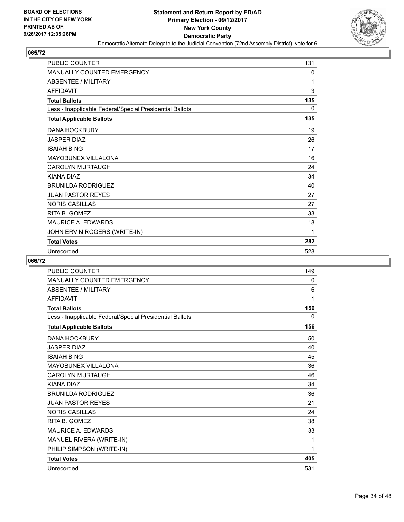

| <b>PUBLIC COUNTER</b>                                    | 131 |
|----------------------------------------------------------|-----|
| MANUALLY COUNTED EMERGENCY                               | 0   |
| <b>ABSENTEE / MILITARY</b>                               | 1   |
| <b>AFFIDAVIT</b>                                         | 3   |
| <b>Total Ballots</b>                                     | 135 |
| Less - Inapplicable Federal/Special Presidential Ballots | 0   |
| <b>Total Applicable Ballots</b>                          | 135 |
| <b>DANA HOCKBURY</b>                                     | 19  |
| <b>JASPER DIAZ</b>                                       | 26  |
| <b>ISAIAH BING</b>                                       | 17  |
| <b>MAYOBUNEX VILLALONA</b>                               | 16  |
| <b>CAROLYN MURTAUGH</b>                                  | 24  |
| KIANA DIAZ                                               | 34  |
| <b>BRUNILDA RODRIGUEZ</b>                                | 40  |
| <b>JUAN PASTOR REYES</b>                                 | 27  |
| <b>NORIS CASILLAS</b>                                    | 27  |
| RITA B. GOMEZ                                            | 33  |
| <b>MAURICE A. EDWARDS</b>                                | 18  |
| JOHN ERVIN ROGERS (WRITE-IN)                             | 1   |
| <b>Total Votes</b>                                       | 282 |
| Unrecorded                                               | 528 |

| <b>PUBLIC COUNTER</b>                                    | 149 |
|----------------------------------------------------------|-----|
| MANUALLY COUNTED EMERGENCY                               | 0   |
| ABSENTEE / MILITARY                                      | 6   |
| <b>AFFIDAVIT</b>                                         | 1   |
| <b>Total Ballots</b>                                     | 156 |
| Less - Inapplicable Federal/Special Presidential Ballots | 0   |
| <b>Total Applicable Ballots</b>                          | 156 |
| <b>DANA HOCKBURY</b>                                     | 50  |
| <b>JASPER DIAZ</b>                                       | 40  |
| <b>ISAIAH BING</b>                                       | 45  |
| <b>MAYOBUNEX VILLALONA</b>                               | 36  |
| <b>CAROLYN MURTAUGH</b>                                  | 46  |
| KIANA DIAZ                                               | 34  |
| <b>BRUNILDA RODRIGUEZ</b>                                | 36  |
| <b>JUAN PASTOR REYES</b>                                 | 21  |
| <b>NORIS CASILLAS</b>                                    | 24  |
| RITA B. GOMEZ                                            | 38  |
| <b>MAURICE A. EDWARDS</b>                                | 33  |
| MANUEL RIVERA (WRITE-IN)                                 | 1   |
| PHILIP SIMPSON (WRITE-IN)                                | 1   |
| <b>Total Votes</b>                                       | 405 |
| Unrecorded                                               | 531 |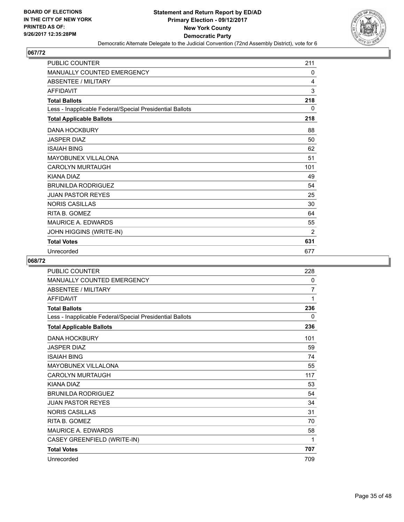

| <b>PUBLIC COUNTER</b>                                    | 211 |
|----------------------------------------------------------|-----|
| <b>MANUALLY COUNTED EMERGENCY</b>                        | 0   |
| <b>ABSENTEE / MILITARY</b>                               | 4   |
| <b>AFFIDAVIT</b>                                         | 3   |
| <b>Total Ballots</b>                                     | 218 |
| Less - Inapplicable Federal/Special Presidential Ballots | 0   |
| <b>Total Applicable Ballots</b>                          | 218 |
| <b>DANA HOCKBURY</b>                                     | 88  |
| <b>JASPER DIAZ</b>                                       | 50  |
| <b>ISAIAH BING</b>                                       | 62  |
| <b>MAYOBUNEX VILLALONA</b>                               | 51  |
| <b>CAROLYN MURTAUGH</b>                                  | 101 |
| <b>KIANA DIAZ</b>                                        | 49  |
| <b>BRUNILDA RODRIGUEZ</b>                                | 54  |
| <b>JUAN PASTOR REYES</b>                                 | 25  |
| <b>NORIS CASILLAS</b>                                    | 30  |
| RITA B. GOMEZ                                            | 64  |
| <b>MAURICE A. EDWARDS</b>                                | 55  |
| JOHN HIGGINS (WRITE-IN)                                  | 2   |
| <b>Total Votes</b>                                       | 631 |
| Unrecorded                                               | 677 |

| PUBLIC COUNTER                                           | 228 |
|----------------------------------------------------------|-----|
| <b>MANUALLY COUNTED EMERGENCY</b>                        | 0   |
| <b>ABSENTEE / MILITARY</b>                               | 7   |
| <b>AFFIDAVIT</b>                                         | 1   |
| <b>Total Ballots</b>                                     | 236 |
| Less - Inapplicable Federal/Special Presidential Ballots | 0   |
| <b>Total Applicable Ballots</b>                          | 236 |
| <b>DANA HOCKBURY</b>                                     | 101 |
| <b>JASPER DIAZ</b>                                       | 59  |
| <b>ISAIAH BING</b>                                       | 74  |
| <b>MAYOBUNEX VILLALONA</b>                               | 55  |
| <b>CAROLYN MURTAUGH</b>                                  | 117 |
| KIANA DIAZ                                               | 53  |
| <b>BRUNILDA RODRIGUEZ</b>                                | 54  |
| <b>JUAN PASTOR REYES</b>                                 | 34  |
| <b>NORIS CASILLAS</b>                                    | 31  |
| RITA B. GOMEZ                                            | 70  |
| <b>MAURICE A. EDWARDS</b>                                | 58  |
| CASEY GREENFIELD (WRITE-IN)                              | 1   |
| <b>Total Votes</b>                                       | 707 |
| Unrecorded                                               | 709 |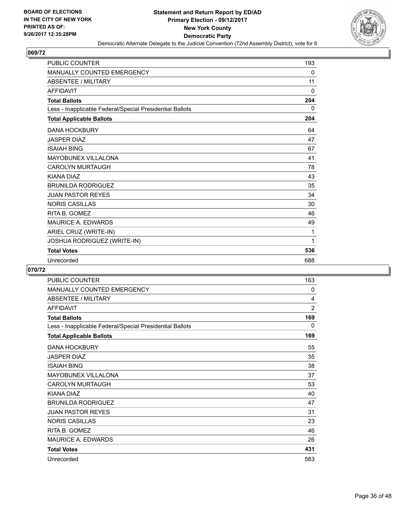

| <b>PUBLIC COUNTER</b>                                    | 193      |
|----------------------------------------------------------|----------|
| <b>MANUALLY COUNTED EMERGENCY</b>                        | 0        |
| <b>ABSENTEE / MILITARY</b>                               | 11       |
| <b>AFFIDAVIT</b>                                         | $\Omega$ |
| <b>Total Ballots</b>                                     | 204      |
| Less - Inapplicable Federal/Special Presidential Ballots | 0        |
| <b>Total Applicable Ballots</b>                          | 204      |
| <b>DANA HOCKBURY</b>                                     | 64       |
| <b>JASPER DIAZ</b>                                       | 47       |
| <b>ISAIAH BING</b>                                       | 67       |
| <b>MAYOBUNEX VILLALONA</b>                               | 41       |
| <b>CAROLYN MURTAUGH</b>                                  | 78       |
| KIANA DIAZ                                               | 43       |
| <b>BRUNILDA RODRIGUEZ</b>                                | 35       |
| <b>JUAN PASTOR REYES</b>                                 | 34       |
| <b>NORIS CASILLAS</b>                                    | 30       |
| RITA B. GOMEZ                                            | 46       |
| <b>MAURICE A. EDWARDS</b>                                | 49       |
| ARIEL CRUZ (WRITE-IN)                                    | 1        |
| JOSHUA RODRIGUEZ (WRITE-IN)                              | 1        |
| <b>Total Votes</b>                                       | 536      |
| Unrecorded                                               | 688      |

| <b>PUBLIC COUNTER</b>                                    | 163            |
|----------------------------------------------------------|----------------|
| <b>MANUALLY COUNTED EMERGENCY</b>                        | 0              |
| <b>ABSENTEE / MILITARY</b>                               | 4              |
| AFFIDAVIT                                                | $\overline{2}$ |
| <b>Total Ballots</b>                                     | 169            |
| Less - Inapplicable Federal/Special Presidential Ballots | 0              |
| <b>Total Applicable Ballots</b>                          | 169            |
| <b>DANA HOCKBURY</b>                                     | 55             |
| <b>JASPER DIAZ</b>                                       | 35             |
| <b>ISAIAH BING</b>                                       | 38             |
| MAYOBUNEX VILLALONA                                      | 37             |
| <b>CAROLYN MURTAUGH</b>                                  | 53             |
| KIANA DIAZ                                               | 40             |
| <b>BRUNILDA RODRIGUEZ</b>                                | 47             |
| <b>JUAN PASTOR REYES</b>                                 | 31             |
| <b>NORIS CASILLAS</b>                                    | 23             |
| RITA B. GOMEZ                                            | 46             |
| <b>MAURICE A. EDWARDS</b>                                | 26             |
| <b>Total Votes</b>                                       | 431            |
| Unrecorded                                               | 583            |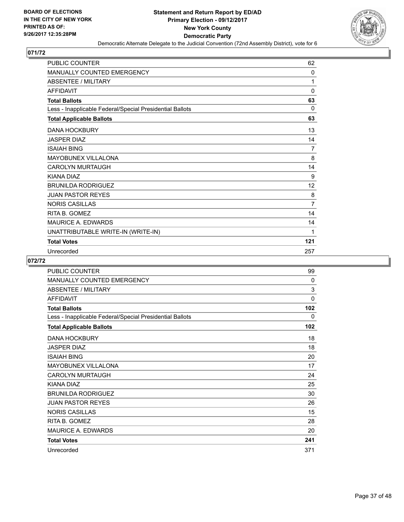

| PUBLIC COUNTER                                           | 62           |
|----------------------------------------------------------|--------------|
| <b>MANUALLY COUNTED EMERGENCY</b>                        | $\mathbf{0}$ |
| <b>ABSENTEE / MILITARY</b>                               | 1            |
| <b>AFFIDAVIT</b>                                         | 0            |
| <b>Total Ballots</b>                                     | 63           |
| Less - Inapplicable Federal/Special Presidential Ballots | $\Omega$     |
| <b>Total Applicable Ballots</b>                          | 63           |
| <b>DANA HOCKBURY</b>                                     | 13           |
| <b>JASPER DIAZ</b>                                       | 14           |
| <b>ISAIAH BING</b>                                       | 7            |
| <b>MAYOBUNEX VILLALONA</b>                               | 8            |
| <b>CAROLYN MURTAUGH</b>                                  | 14           |
| <b>KIANA DIAZ</b>                                        | 9            |
| <b>BRUNILDA RODRIGUEZ</b>                                | 12           |
| <b>JUAN PASTOR REYES</b>                                 | 8            |
| <b>NORIS CASILLAS</b>                                    | 7            |
| RITA B. GOMEZ                                            | 14           |
| <b>MAURICE A. EDWARDS</b>                                | 14           |
| UNATTRIBUTABLE WRITE-IN (WRITE-IN)                       | 1            |
| <b>Total Votes</b>                                       | 121          |
| Unrecorded                                               | 257          |

| PUBLIC COUNTER                                           | 99  |
|----------------------------------------------------------|-----|
| MANUALLY COUNTED EMERGENCY                               | 0   |
| ABSENTEE / MILITARY                                      | 3   |
| <b>AFFIDAVIT</b>                                         | 0   |
| <b>Total Ballots</b>                                     | 102 |
| Less - Inapplicable Federal/Special Presidential Ballots | 0   |
| <b>Total Applicable Ballots</b>                          | 102 |
| <b>DANA HOCKBURY</b>                                     | 18  |
| <b>JASPER DIAZ</b>                                       | 18  |
| <b>ISAIAH BING</b>                                       | 20  |
| MAYOBUNEX VILLALONA                                      | 17  |
| <b>CAROLYN MURTAUGH</b>                                  | 24  |
| <b>KIANA DIAZ</b>                                        | 25  |
| <b>BRUNILDA RODRIGUEZ</b>                                | 30  |
| <b>JUAN PASTOR REYES</b>                                 | 26  |
| <b>NORIS CASILLAS</b>                                    | 15  |
| RITA B. GOMEZ                                            | 28  |
| <b>MAURICE A. EDWARDS</b>                                | 20  |
| <b>Total Votes</b>                                       | 241 |
| Unrecorded                                               | 371 |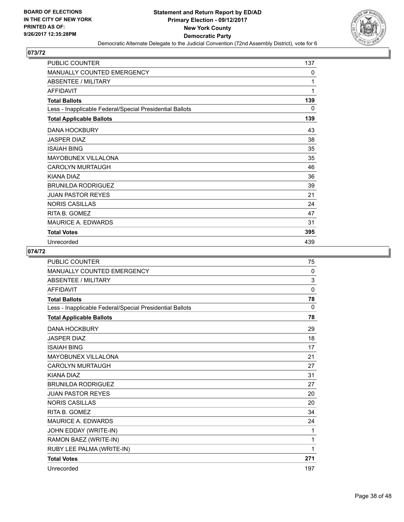

| <b>PUBLIC COUNTER</b>                                    | 137 |
|----------------------------------------------------------|-----|
| MANUALLY COUNTED EMERGENCY                               | 0   |
| ABSENTEE / MILITARY                                      | 1   |
| <b>AFFIDAVIT</b>                                         | 1   |
| <b>Total Ballots</b>                                     | 139 |
| Less - Inapplicable Federal/Special Presidential Ballots | 0   |
| <b>Total Applicable Ballots</b>                          | 139 |
| <b>DANA HOCKBURY</b>                                     | 43  |
| <b>JASPER DIAZ</b>                                       | 38  |
| <b>ISAIAH BING</b>                                       | 35  |
| <b>MAYOBUNEX VILLALONA</b>                               | 35  |
| <b>CAROLYN MURTAUGH</b>                                  | 46  |
| KIANA DIAZ                                               | 36  |
| <b>BRUNILDA RODRIGUEZ</b>                                | 39  |
| <b>JUAN PASTOR REYES</b>                                 | 21  |
| <b>NORIS CASILLAS</b>                                    | 24  |
| RITA B. GOMEZ                                            | 47  |
| <b>MAURICE A. EDWARDS</b>                                | 31  |
| <b>Total Votes</b>                                       | 395 |
| Unrecorded                                               | 439 |

| <b>PUBLIC COUNTER</b>                                    | 75  |
|----------------------------------------------------------|-----|
| MANUALLY COUNTED EMERGENCY                               | 0   |
| <b>ABSENTEE / MILITARY</b>                               | 3   |
| <b>AFFIDAVIT</b>                                         | 0   |
| <b>Total Ballots</b>                                     | 78  |
| Less - Inapplicable Federal/Special Presidential Ballots | 0   |
| <b>Total Applicable Ballots</b>                          | 78  |
| <b>DANA HOCKBURY</b>                                     | 29  |
| <b>JASPER DIAZ</b>                                       | 18  |
| <b>ISAIAH BING</b>                                       | 17  |
| <b>MAYOBUNEX VILLALONA</b>                               | 21  |
| <b>CAROLYN MURTAUGH</b>                                  | 27  |
| KIANA DIAZ                                               | 31  |
| <b>BRUNILDA RODRIGUEZ</b>                                | 27  |
| <b>JUAN PASTOR REYES</b>                                 | 20  |
| <b>NORIS CASILLAS</b>                                    | 20  |
| RITA B. GOMEZ                                            | 34  |
| <b>MAURICE A. EDWARDS</b>                                | 24  |
| JOHN EDDAY (WRITE-IN)                                    | 1   |
| RAMON BAEZ (WRITE-IN)                                    | 1   |
| RUBY LEE PALMA (WRITE-IN)                                | 1   |
| <b>Total Votes</b>                                       | 271 |
| Unrecorded                                               | 197 |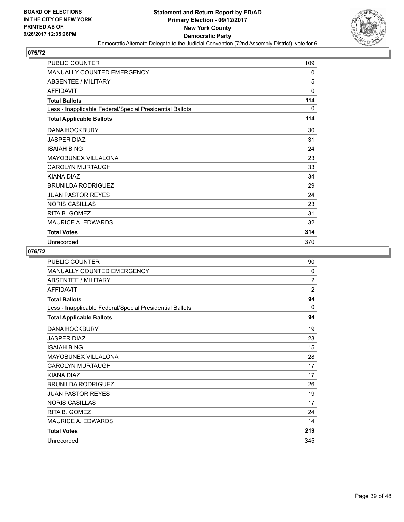

| <b>PUBLIC COUNTER</b>                                    | 109          |
|----------------------------------------------------------|--------------|
| MANUALLY COUNTED EMERGENCY                               | 0            |
| <b>ABSENTEE / MILITARY</b>                               | 5            |
| <b>AFFIDAVIT</b>                                         | $\mathbf{0}$ |
| <b>Total Ballots</b>                                     | 114          |
| Less - Inapplicable Federal/Special Presidential Ballots | 0            |
| <b>Total Applicable Ballots</b>                          | 114          |
| <b>DANA HOCKBURY</b>                                     | 30           |
| <b>JASPER DIAZ</b>                                       | 31           |
| <b>ISAIAH BING</b>                                       | 24           |
| <b>MAYOBUNEX VILLALONA</b>                               | 23           |
| CAROLYN MURTAUGH                                         | 33           |
| KIANA DIAZ                                               | 34           |
| <b>BRUNILDA RODRIGUEZ</b>                                | 29           |
| <b>JUAN PASTOR REYES</b>                                 | 24           |
| <b>NORIS CASILLAS</b>                                    | 23           |
| RITA B. GOMEZ                                            | 31           |
| <b>MAURICE A. EDWARDS</b>                                | 32           |
| <b>Total Votes</b>                                       | 314          |
| Unrecorded                                               | 370          |

| <b>PUBLIC COUNTER</b>                                    | 90             |
|----------------------------------------------------------|----------------|
| MANUALLY COUNTED EMERGENCY                               | 0              |
| <b>ABSENTEE / MILITARY</b>                               | $\overline{2}$ |
| <b>AFFIDAVIT</b>                                         | $\overline{2}$ |
| <b>Total Ballots</b>                                     | 94             |
| Less - Inapplicable Federal/Special Presidential Ballots | 0              |
| <b>Total Applicable Ballots</b>                          | 94             |
| <b>DANA HOCKBURY</b>                                     | 19             |
| <b>JASPER DIAZ</b>                                       | 23             |
| <b>ISAIAH BING</b>                                       | 15             |
| MAYOBUNEX VILLALONA                                      | 28             |
| CAROLYN MURTAUGH                                         | 17             |
| KIANA DIAZ                                               | 17             |
| <b>BRUNILDA RODRIGUEZ</b>                                | 26             |
| <b>JUAN PASTOR REYES</b>                                 | 19             |
| <b>NORIS CASILLAS</b>                                    | 17             |
| RITA B. GOMEZ                                            | 24             |
| <b>MAURICE A. EDWARDS</b>                                | 14             |
| <b>Total Votes</b>                                       | 219            |
| Unrecorded                                               | 345            |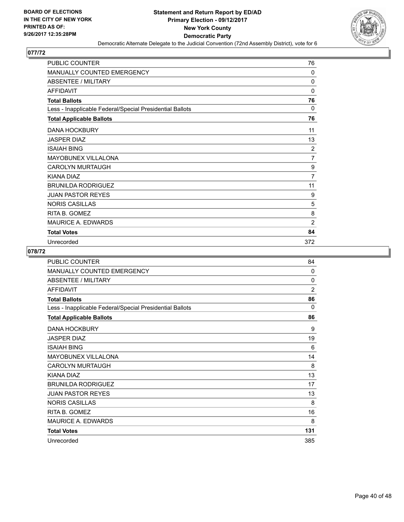

| <b>PUBLIC COUNTER</b>                                    | 76             |
|----------------------------------------------------------|----------------|
| <b>MANUALLY COUNTED EMERGENCY</b>                        | 0              |
| <b>ABSENTEE / MILITARY</b>                               | $\mathbf{0}$   |
| <b>AFFIDAVIT</b>                                         | $\mathbf{0}$   |
| <b>Total Ballots</b>                                     | 76             |
| Less - Inapplicable Federal/Special Presidential Ballots | 0              |
| <b>Total Applicable Ballots</b>                          | 76             |
| <b>DANA HOCKBURY</b>                                     | 11             |
| <b>JASPER DIAZ</b>                                       | 13             |
| <b>ISAIAH BING</b>                                       | 2              |
| <b>MAYOBUNEX VILLALONA</b>                               | $\overline{7}$ |
| <b>CAROLYN MURTAUGH</b>                                  | 9              |
| KIANA DIAZ                                               | 7              |
| <b>BRUNILDA RODRIGUEZ</b>                                | 11             |
| <b>JUAN PASTOR REYES</b>                                 | 9              |
| <b>NORIS CASILLAS</b>                                    | 5              |
| RITA B. GOMEZ                                            | 8              |
| <b>MAURICE A. EDWARDS</b>                                | $\overline{2}$ |
| <b>Total Votes</b>                                       | 84             |
| Unrecorded                                               | 372            |

| <b>PUBLIC COUNTER</b>                                    | 84             |
|----------------------------------------------------------|----------------|
| MANUALLY COUNTED EMERGENCY                               | 0              |
| <b>ABSENTEE / MILITARY</b>                               | 0              |
| <b>AFFIDAVIT</b>                                         | $\overline{2}$ |
| <b>Total Ballots</b>                                     | 86             |
| Less - Inapplicable Federal/Special Presidential Ballots | $\Omega$       |
| <b>Total Applicable Ballots</b>                          | 86             |
| <b>DANA HOCKBURY</b>                                     | 9              |
| <b>JASPER DIAZ</b>                                       | 19             |
| <b>ISAIAH BING</b>                                       | 6              |
| MAYOBUNEX VILLALONA                                      | 14             |
| <b>CAROLYN MURTAUGH</b>                                  | 8              |
| KIANA DIAZ                                               | 13             |
| <b>BRUNILDA RODRIGUEZ</b>                                | 17             |
| <b>JUAN PASTOR REYES</b>                                 | 13             |
| <b>NORIS CASILLAS</b>                                    | 8              |
| RITA B. GOMEZ                                            | 16             |
| <b>MAURICE A. EDWARDS</b>                                | 8              |
| <b>Total Votes</b>                                       | 131            |
| Unrecorded                                               | 385            |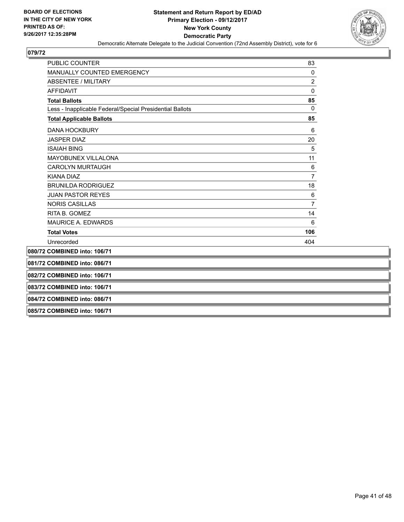

| <b>PUBLIC COUNTER</b>                                    | 83             |  |
|----------------------------------------------------------|----------------|--|
| MANUALLY COUNTED EMERGENCY                               | 0              |  |
| <b>ABSENTEE / MILITARY</b>                               | $\overline{2}$ |  |
| <b>AFFIDAVIT</b>                                         | 0              |  |
| <b>Total Ballots</b>                                     | 85             |  |
| Less - Inapplicable Federal/Special Presidential Ballots | $\mathbf 0$    |  |
| <b>Total Applicable Ballots</b>                          | 85             |  |
| <b>DANA HOCKBURY</b>                                     | 6              |  |
| <b>JASPER DIAZ</b>                                       | 20             |  |
| <b>ISAIAH BING</b>                                       | 5              |  |
| MAYOBUNEX VILLALONA                                      | 11             |  |
| <b>CAROLYN MURTAUGH</b>                                  | 6              |  |
| <b>KIANA DIAZ</b>                                        | 7              |  |
| <b>BRUNILDA RODRIGUEZ</b>                                | 18             |  |
| <b>JUAN PASTOR REYES</b>                                 | 6              |  |
| <b>NORIS CASILLAS</b>                                    | 7              |  |
| RITA B. GOMEZ                                            | 14             |  |
| <b>MAURICE A. EDWARDS</b>                                | 6              |  |
| <b>Total Votes</b>                                       | 106            |  |
| Unrecorded                                               | 404            |  |
| 080/72 COMBINED into: 106/71                             |                |  |
| 081/72 COMBINED into: 086/71                             |                |  |
| 082/72 COMBINED into: 106/71                             |                |  |
| 083/72 COMBINED into: 106/71                             |                |  |
| 084/72 COMBINED into: 086/71                             |                |  |
|                                                          |                |  |

**085/72 COMBINED into: 106/71**

**Service Control**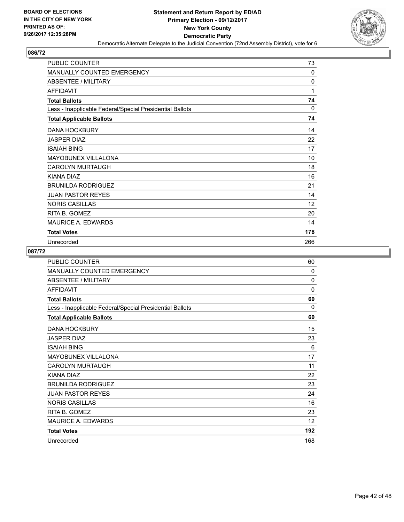

| PUBLIC COUNTER                                           | 73  |
|----------------------------------------------------------|-----|
| MANUALLY COUNTED EMERGENCY                               | 0   |
| <b>ABSENTEE / MILITARY</b>                               | 0   |
| <b>AFFIDAVIT</b>                                         | 1   |
| <b>Total Ballots</b>                                     | 74  |
| Less - Inapplicable Federal/Special Presidential Ballots | 0   |
| <b>Total Applicable Ballots</b>                          | 74  |
| <b>DANA HOCKBURY</b>                                     | 14  |
| <b>JASPER DIAZ</b>                                       | 22  |
| <b>ISAIAH BING</b>                                       | 17  |
| <b>MAYOBUNEX VILLALONA</b>                               | 10  |
| <b>CAROLYN MURTAUGH</b>                                  | 18  |
| KIANA DIAZ                                               | 16  |
| <b>BRUNILDA RODRIGUEZ</b>                                | 21  |
| <b>JUAN PASTOR REYES</b>                                 | 14  |
| <b>NORIS CASILLAS</b>                                    | 12  |
| RITA B. GOMEZ                                            | 20  |
| <b>MAURICE A. EDWARDS</b>                                | 14  |
| <b>Total Votes</b>                                       | 178 |
| Unrecorded                                               | 266 |

| <b>PUBLIC COUNTER</b>                                    | 60       |
|----------------------------------------------------------|----------|
| <b>MANUALLY COUNTED EMERGENCY</b>                        | 0        |
| ABSENTEE / MILITARY                                      | $\Omega$ |
| <b>AFFIDAVIT</b>                                         | 0        |
| <b>Total Ballots</b>                                     | 60       |
| Less - Inapplicable Federal/Special Presidential Ballots | $\Omega$ |
| <b>Total Applicable Ballots</b>                          | 60       |
| <b>DANA HOCKBURY</b>                                     | 15       |
| <b>JASPER DIAZ</b>                                       | 23       |
| <b>ISAIAH BING</b>                                       | 6        |
| MAYOBUNEX VILLALONA                                      | 17       |
| <b>CAROLYN MURTAUGH</b>                                  | 11       |
| KIANA DIAZ                                               | 22       |
| <b>BRUNILDA RODRIGUEZ</b>                                | 23       |
| <b>JUAN PASTOR REYES</b>                                 | 24       |
| <b>NORIS CASILLAS</b>                                    | 16       |
| RITA B. GOMEZ                                            | 23       |
| <b>MAURICE A. EDWARDS</b>                                | 12       |
| <b>Total Votes</b>                                       | 192      |
| Unrecorded                                               | 168      |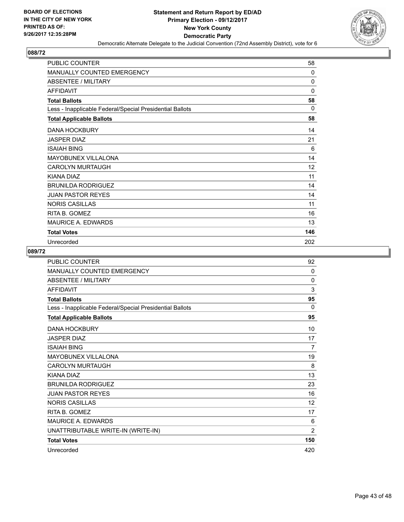

| <b>PUBLIC COUNTER</b>                                    | 58       |
|----------------------------------------------------------|----------|
| <b>MANUALLY COUNTED EMERGENCY</b>                        | 0        |
| <b>ABSENTEE / MILITARY</b>                               | $\Omega$ |
| <b>AFFIDAVIT</b>                                         | 0        |
| <b>Total Ballots</b>                                     | 58       |
| Less - Inapplicable Federal/Special Presidential Ballots | 0        |
| <b>Total Applicable Ballots</b>                          | 58       |
| <b>DANA HOCKBURY</b>                                     | 14       |
| <b>JASPER DIAZ</b>                                       | 21       |
| <b>ISAIAH BING</b>                                       | 6        |
| <b>MAYOBUNEX VILLALONA</b>                               | 14       |
| <b>CAROLYN MURTAUGH</b>                                  | 12       |
| KIANA DIAZ                                               | 11       |
| <b>BRUNILDA RODRIGUEZ</b>                                | 14       |
| <b>JUAN PASTOR REYES</b>                                 | 14       |
| <b>NORIS CASILLAS</b>                                    | 11       |
| RITA B. GOMEZ                                            | 16       |
| <b>MAURICE A. EDWARDS</b>                                | 13       |
| <b>Total Votes</b>                                       | 146      |
| Unrecorded                                               | 202      |

| <b>PUBLIC COUNTER</b>                                    | 92             |
|----------------------------------------------------------|----------------|
| <b>MANUALLY COUNTED EMERGENCY</b>                        | 0              |
| <b>ABSENTEE / MILITARY</b>                               | 0              |
| <b>AFFIDAVIT</b>                                         | 3              |
| <b>Total Ballots</b>                                     | 95             |
| Less - Inapplicable Federal/Special Presidential Ballots | $\Omega$       |
| <b>Total Applicable Ballots</b>                          | 95             |
| <b>DANA HOCKBURY</b>                                     | 10             |
| <b>JASPER DIAZ</b>                                       | 17             |
| <b>ISAIAH BING</b>                                       | $\overline{7}$ |
| <b>MAYOBUNEX VILLALONA</b>                               | 19             |
| <b>CAROLYN MURTAUGH</b>                                  | 8              |
| KIANA DIAZ                                               | 13             |
| <b>BRUNILDA RODRIGUEZ</b>                                | 23             |
| <b>JUAN PASTOR REYES</b>                                 | 16             |
| <b>NORIS CASILLAS</b>                                    | 12             |
| RITA B. GOMEZ                                            | 17             |
| MAURICE A. EDWARDS                                       | 6              |
| UNATTRIBUTABLE WRITE-IN (WRITE-IN)                       | $\overline{2}$ |
| <b>Total Votes</b>                                       | 150            |
| Unrecorded                                               | 420            |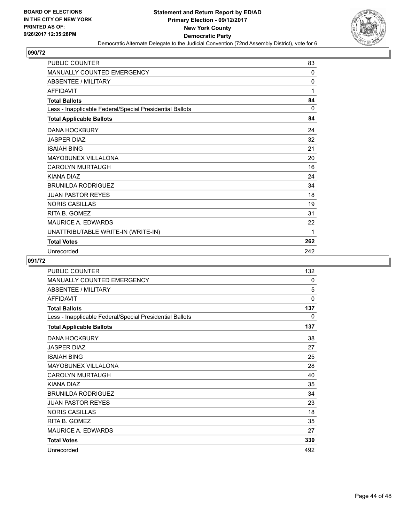

| <b>PUBLIC COUNTER</b>                                    | 83       |
|----------------------------------------------------------|----------|
| MANUALLY COUNTED EMERGENCY                               | $\Omega$ |
| <b>ABSENTEE / MILITARY</b>                               | 0        |
| <b>AFFIDAVIT</b>                                         | 1        |
| <b>Total Ballots</b>                                     | 84       |
| Less - Inapplicable Federal/Special Presidential Ballots | $\Omega$ |
| <b>Total Applicable Ballots</b>                          | 84       |
| <b>DANA HOCKBURY</b>                                     | 24       |
| <b>JASPER DIAZ</b>                                       | 32       |
| <b>ISAIAH BING</b>                                       | 21       |
| <b>MAYOBUNEX VILLALONA</b>                               | 20       |
| <b>CAROLYN MURTAUGH</b>                                  | 16       |
| KIANA DIAZ                                               | 24       |
| <b>BRUNILDA RODRIGUEZ</b>                                | 34       |
| <b>JUAN PASTOR REYES</b>                                 | 18       |
| <b>NORIS CASILLAS</b>                                    | 19       |
| RITA B. GOMEZ                                            | 31       |
| <b>MAURICE A. EDWARDS</b>                                | 22       |
| UNATTRIBUTABLE WRITE-IN (WRITE-IN)                       | 1        |
| <b>Total Votes</b>                                       | 262      |
| Unrecorded                                               | 242      |

| PUBLIC COUNTER                                           | 132 |
|----------------------------------------------------------|-----|
| MANUALLY COUNTED EMERGENCY                               | 0   |
| <b>ABSENTEE / MILITARY</b>                               | 5   |
| <b>AFFIDAVIT</b>                                         | 0   |
| <b>Total Ballots</b>                                     | 137 |
| Less - Inapplicable Federal/Special Presidential Ballots | 0   |
| <b>Total Applicable Ballots</b>                          | 137 |
| <b>DANA HOCKBURY</b>                                     | 38  |
| <b>JASPER DIAZ</b>                                       | 27  |
| <b>ISAIAH BING</b>                                       | 25  |
| <b>MAYOBUNEX VILLALONA</b>                               | 28  |
| <b>CAROLYN MURTAUGH</b>                                  | 40  |
| KIANA DIAZ                                               | 35  |
| <b>BRUNILDA RODRIGUEZ</b>                                | 34  |
| <b>JUAN PASTOR REYES</b>                                 | 23  |
| <b>NORIS CASILLAS</b>                                    | 18  |
| RITA B. GOMEZ                                            | 35  |
| <b>MAURICE A. EDWARDS</b>                                | 27  |
| <b>Total Votes</b>                                       | 330 |
| Unrecorded                                               | 492 |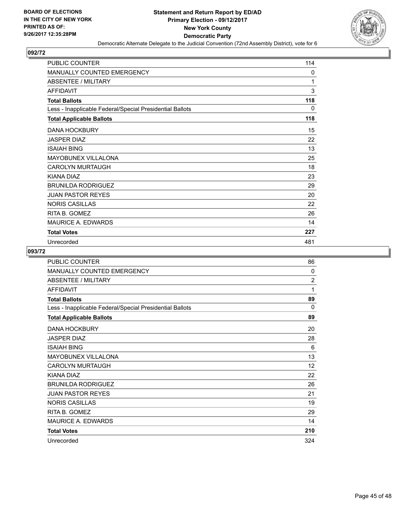

| PUBLIC COUNTER                                           | 114 |
|----------------------------------------------------------|-----|
| MANUALLY COUNTED EMERGENCY                               | 0   |
| <b>ABSENTEE / MILITARY</b>                               | 1   |
| <b>AFFIDAVIT</b>                                         | 3   |
| <b>Total Ballots</b>                                     | 118 |
| Less - Inapplicable Federal/Special Presidential Ballots | 0   |
| <b>Total Applicable Ballots</b>                          | 118 |
| <b>DANA HOCKBURY</b>                                     | 15  |
| <b>JASPER DIAZ</b>                                       | 22  |
| <b>ISAIAH BING</b>                                       | 13  |
| <b>MAYOBUNEX VILLALONA</b>                               | 25  |
| <b>CAROLYN MURTAUGH</b>                                  | 18  |
| KIANA DIAZ                                               | 23  |
| <b>BRUNILDA RODRIGUEZ</b>                                | 29  |
| <b>JUAN PASTOR REYES</b>                                 | 20  |
| <b>NORIS CASILLAS</b>                                    | 22  |
| RITA B. GOMEZ                                            | 26  |
| <b>MAURICE A. EDWARDS</b>                                | 14  |
| <b>Total Votes</b>                                       | 227 |
| Unrecorded                                               | 481 |

| <b>PUBLIC COUNTER</b>                                    | 86             |
|----------------------------------------------------------|----------------|
| MANUALLY COUNTED EMERGENCY                               | 0              |
| <b>ABSENTEE / MILITARY</b>                               | $\overline{2}$ |
| <b>AFFIDAVIT</b>                                         | 1              |
| <b>Total Ballots</b>                                     | 89             |
| Less - Inapplicable Federal/Special Presidential Ballots | $\Omega$       |
| <b>Total Applicable Ballots</b>                          | 89             |
| <b>DANA HOCKBURY</b>                                     | 20             |
| <b>JASPER DIAZ</b>                                       | 28             |
| <b>ISAIAH BING</b>                                       | 6              |
| MAYOBUNEX VILLALONA                                      | 13             |
| <b>CAROLYN MURTAUGH</b>                                  | 12             |
| KIANA DIAZ                                               | 22             |
| <b>BRUNILDA RODRIGUEZ</b>                                | 26             |
| <b>JUAN PASTOR REYES</b>                                 | 21             |
| <b>NORIS CASILLAS</b>                                    | 19             |
| RITA B. GOMEZ                                            | 29             |
| <b>MAURICE A. EDWARDS</b>                                | 14             |
| <b>Total Votes</b>                                       | 210            |
| Unrecorded                                               | 324            |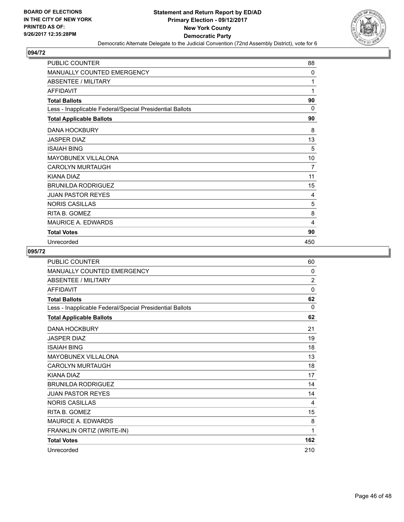

| <b>PUBLIC COUNTER</b>                                    | 88           |
|----------------------------------------------------------|--------------|
| <b>MANUALLY COUNTED EMERGENCY</b>                        | $\mathbf{0}$ |
| ABSENTEE / MILITARY                                      | 1            |
| <b>AFFIDAVIT</b>                                         | 1            |
| <b>Total Ballots</b>                                     | 90           |
| Less - Inapplicable Federal/Special Presidential Ballots | $\mathbf{0}$ |
| <b>Total Applicable Ballots</b>                          | 90           |
| <b>DANA HOCKBURY</b>                                     | 8            |
| <b>JASPER DIAZ</b>                                       | 13           |
| <b>ISAIAH BING</b>                                       | 5            |
| <b>MAYOBUNEX VILLALONA</b>                               | 10           |
| <b>CAROLYN MURTAUGH</b>                                  | 7            |
| KIANA DIAZ                                               | 11           |
| <b>BRUNILDA RODRIGUEZ</b>                                | 15           |
| <b>JUAN PASTOR REYES</b>                                 | 4            |
| <b>NORIS CASILLAS</b>                                    | 5            |
| RITA B. GOMEZ                                            | 8            |
| <b>MAURICE A. EDWARDS</b>                                | 4            |
| <b>Total Votes</b>                                       | 90           |
| Unrecorded                                               | 450          |

| <b>PUBLIC COUNTER</b>                                    | 60             |
|----------------------------------------------------------|----------------|
| <b>MANUALLY COUNTED EMERGENCY</b>                        | 0              |
| <b>ABSENTEE / MILITARY</b>                               | $\overline{2}$ |
| <b>AFFIDAVIT</b>                                         | $\mathbf{0}$   |
| <b>Total Ballots</b>                                     | 62             |
| Less - Inapplicable Federal/Special Presidential Ballots | $\mathbf{0}$   |
| <b>Total Applicable Ballots</b>                          | 62             |
| <b>DANA HOCKBURY</b>                                     | 21             |
| <b>JASPER DIAZ</b>                                       | 19             |
| <b>ISAIAH BING</b>                                       | 18             |
| <b>MAYOBUNEX VILLALONA</b>                               | 13             |
| <b>CAROLYN MURTAUGH</b>                                  | 18             |
| KIANA DIAZ                                               | 17             |
| <b>BRUNILDA RODRIGUEZ</b>                                | 14             |
| <b>JUAN PASTOR REYES</b>                                 | 14             |
| <b>NORIS CASILLAS</b>                                    | 4              |
| RITA B. GOMEZ                                            | 15             |
| MAURICE A. EDWARDS                                       | 8              |
| FRANKLIN ORTIZ (WRITE-IN)                                | 1              |
| <b>Total Votes</b>                                       | 162            |
| Unrecorded                                               | 210            |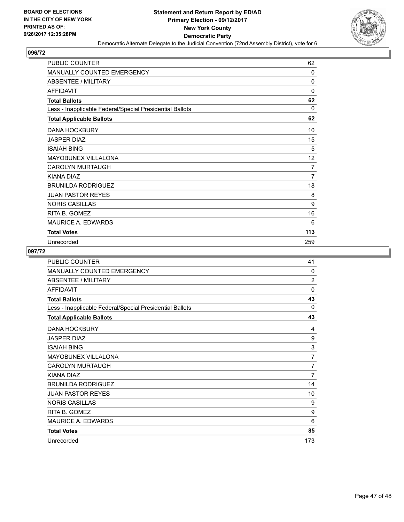

| <b>PUBLIC COUNTER</b>                                    | 62           |
|----------------------------------------------------------|--------------|
| <b>MANUALLY COUNTED EMERGENCY</b>                        | 0            |
| <b>ABSENTEE / MILITARY</b>                               | 0            |
| <b>AFFIDAVIT</b>                                         | $\mathbf{0}$ |
| <b>Total Ballots</b>                                     | 62           |
| Less - Inapplicable Federal/Special Presidential Ballots | 0            |
| <b>Total Applicable Ballots</b>                          | 62           |
| <b>DANA HOCKBURY</b>                                     | 10           |
| <b>JASPER DIAZ</b>                                       | 15           |
| <b>ISAIAH BING</b>                                       | 5            |
| MAYOBUNEX VILLALONA                                      | 12           |
| <b>CAROLYN MURTAUGH</b>                                  | 7            |
| <b>KIANA DIAZ</b>                                        | 7            |
| <b>BRUNILDA RODRIGUEZ</b>                                | 18           |
| <b>JUAN PASTOR REYES</b>                                 | 8            |
| <b>NORIS CASILLAS</b>                                    | 9            |
| RITA B. GOMEZ                                            | 16           |
| <b>MAURICE A. EDWARDS</b>                                | 6            |
| <b>Total Votes</b>                                       | 113          |
| Unrecorded                                               | 259          |

| <b>PUBLIC COUNTER</b>                                    | 41             |
|----------------------------------------------------------|----------------|
| MANUALLY COUNTED EMERGENCY                               | 0              |
| <b>ABSENTEE / MILITARY</b>                               | $\overline{2}$ |
| <b>AFFIDAVIT</b>                                         | 0              |
| <b>Total Ballots</b>                                     | 43             |
| Less - Inapplicable Federal/Special Presidential Ballots | 0              |
| <b>Total Applicable Ballots</b>                          | 43             |
| <b>DANA HOCKBURY</b>                                     | 4              |
| <b>JASPER DIAZ</b>                                       | 9              |
| <b>ISAIAH BING</b>                                       | 3              |
| MAYOBUNEX VILLALONA                                      | $\overline{7}$ |
| <b>CAROLYN MURTAUGH</b>                                  | 7              |
| KIANA DIAZ                                               | $\overline{7}$ |
| <b>BRUNILDA RODRIGUEZ</b>                                | 14             |
| <b>JUAN PASTOR REYES</b>                                 | 10             |
| <b>NORIS CASILLAS</b>                                    | 9              |
| RITA B. GOMEZ                                            | 9              |
| <b>MAURICE A. EDWARDS</b>                                | 6              |
| <b>Total Votes</b>                                       | 85             |
| Unrecorded                                               | 173            |